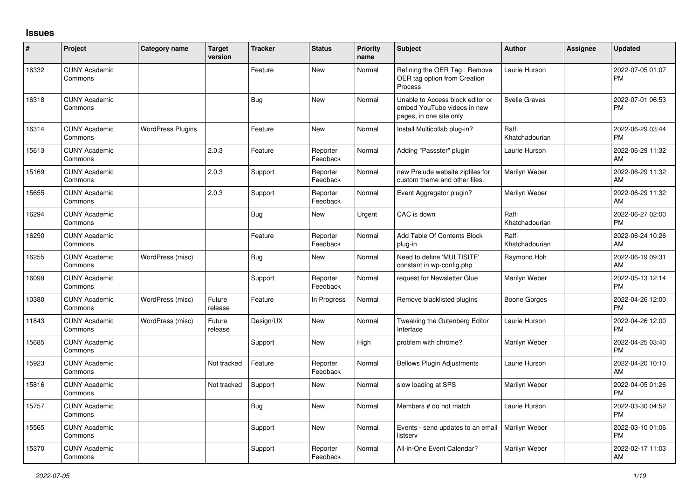## **Issues**

| #     | Project                         | Category name            | <b>Target</b><br>version | <b>Tracker</b> | <b>Status</b>        | <b>Priority</b><br>name | <b>Subject</b>                                                                             | <b>Author</b>           | Assignee | <b>Updated</b>                |
|-------|---------------------------------|--------------------------|--------------------------|----------------|----------------------|-------------------------|--------------------------------------------------------------------------------------------|-------------------------|----------|-------------------------------|
| 16332 | <b>CUNY Academic</b><br>Commons |                          |                          | Feature        | New                  | Normal                  | Refining the OER Tag: Remove<br>OER tag option from Creation<br>Process                    | Laurie Hurson           |          | 2022-07-05 01:07<br><b>PM</b> |
| 16318 | <b>CUNY Academic</b><br>Commons |                          |                          | Bug            | New                  | Normal                  | Unable to Access block editor or<br>embed YouTube videos in new<br>pages, in one site only | <b>Syelle Graves</b>    |          | 2022-07-01 06:53<br>PM        |
| 16314 | <b>CUNY Academic</b><br>Commons | <b>WordPress Plugins</b> |                          | Feature        | New                  | Normal                  | Install Multicollab plug-in?                                                               | Raffi<br>Khatchadourian |          | 2022-06-29 03:44<br><b>PM</b> |
| 15613 | <b>CUNY Academic</b><br>Commons |                          | 2.0.3                    | Feature        | Reporter<br>Feedback | Normal                  | Adding "Passster" plugin                                                                   | Laurie Hurson           |          | 2022-06-29 11:32<br>AM        |
| 15169 | <b>CUNY Academic</b><br>Commons |                          | 2.0.3                    | Support        | Reporter<br>Feedback | Normal                  | new Prelude website zipfiles for<br>custom theme and other files.                          | Marilyn Weber           |          | 2022-06-29 11:32<br>AM        |
| 15655 | <b>CUNY Academic</b><br>Commons |                          | 2.0.3                    | Support        | Reporter<br>Feedback | Normal                  | Event Aggregator plugin?                                                                   | Marilyn Weber           |          | 2022-06-29 11:32<br>AM        |
| 16294 | <b>CUNY Academic</b><br>Commons |                          |                          | <b>Bug</b>     | New                  | Urgent                  | CAC is down                                                                                | Raffi<br>Khatchadourian |          | 2022-06-27 02:00<br><b>PM</b> |
| 16290 | <b>CUNY Academic</b><br>Commons |                          |                          | Feature        | Reporter<br>Feedback | Normal                  | Add Table Of Contents Block<br>plug-in                                                     | Raffi<br>Khatchadourian |          | 2022-06-24 10:26<br>AM        |
| 16255 | <b>CUNY Academic</b><br>Commons | WordPress (misc)         |                          | Bug            | <b>New</b>           | Normal                  | Need to define 'MULTISITE'<br>constant in wp-config.php                                    | Raymond Hoh             |          | 2022-06-19 09:31<br>AM        |
| 16099 | <b>CUNY Academic</b><br>Commons |                          |                          | Support        | Reporter<br>Feedback | Normal                  | request for Newsletter Glue                                                                | Marilyn Weber           |          | 2022-05-13 12:14<br><b>PM</b> |
| 10380 | <b>CUNY Academic</b><br>Commons | WordPress (misc)         | Future<br>release        | Feature        | In Progress          | Normal                  | Remove blacklisted plugins                                                                 | Boone Gorges            |          | 2022-04-26 12:00<br><b>PM</b> |
| 11843 | <b>CUNY Academic</b><br>Commons | WordPress (misc)         | Future<br>release        | Design/UX      | New                  | Normal                  | Tweaking the Gutenberg Editor<br>Interface                                                 | Laurie Hurson           |          | 2022-04-26 12:00<br><b>PM</b> |
| 15685 | <b>CUNY Academic</b><br>Commons |                          |                          | Support        | <b>New</b>           | High                    | problem with chrome?                                                                       | Marilyn Weber           |          | 2022-04-25 03:40<br><b>PM</b> |
| 15923 | <b>CUNY Academic</b><br>Commons |                          | Not tracked              | Feature        | Reporter<br>Feedback | Normal                  | <b>Bellows Plugin Adjustments</b>                                                          | Laurie Hurson           |          | 2022-04-20 10:10<br>AM        |
| 15816 | <b>CUNY Academic</b><br>Commons |                          | Not tracked              | Support        | <b>New</b>           | Normal                  | slow loading at SPS                                                                        | Marilyn Weber           |          | 2022-04-05 01:26<br><b>PM</b> |
| 15757 | <b>CUNY Academic</b><br>Commons |                          |                          | Bug            | New                  | Normal                  | Members # do not match                                                                     | Laurie Hurson           |          | 2022-03-30 04:52<br><b>PM</b> |
| 15565 | <b>CUNY Academic</b><br>Commons |                          |                          | Support        | New                  | Normal                  | Events - send updates to an email<br>listserv                                              | Marilyn Weber           |          | 2022-03-10 01:06<br><b>PM</b> |
| 15370 | <b>CUNY Academic</b><br>Commons |                          |                          | Support        | Reporter<br>Feedback | Normal                  | All-in-One Event Calendar?                                                                 | Marilyn Weber           |          | 2022-02-17 11:03<br>AM        |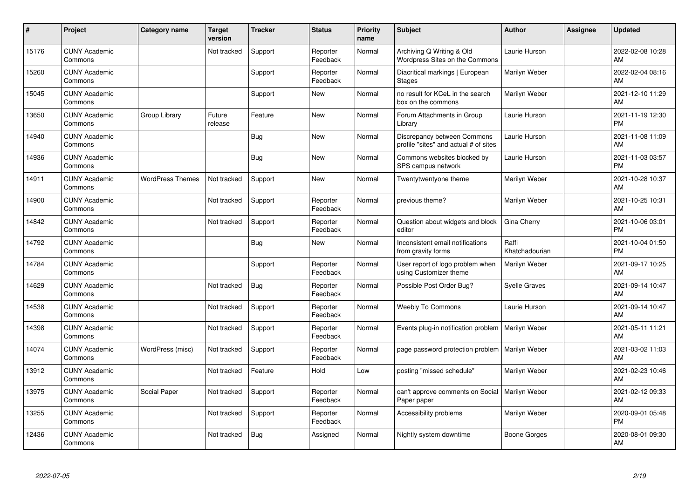| #     | Project                         | <b>Category name</b>    | <b>Target</b><br>version | <b>Tracker</b> | <b>Status</b>        | <b>Priority</b><br>name | <b>Subject</b>                                                       | <b>Author</b>           | <b>Assignee</b> | <b>Updated</b>                |
|-------|---------------------------------|-------------------------|--------------------------|----------------|----------------------|-------------------------|----------------------------------------------------------------------|-------------------------|-----------------|-------------------------------|
| 15176 | <b>CUNY Academic</b><br>Commons |                         | Not tracked              | Support        | Reporter<br>Feedback | Normal                  | Archiving Q Writing & Old<br>Wordpress Sites on the Commons          | Laurie Hurson           |                 | 2022-02-08 10:28<br>AM        |
| 15260 | <b>CUNY Academic</b><br>Commons |                         |                          | Support        | Reporter<br>Feedback | Normal                  | Diacritical markings   European<br>Stages                            | Marilyn Weber           |                 | 2022-02-04 08:16<br>AM        |
| 15045 | <b>CUNY Academic</b><br>Commons |                         |                          | Support        | <b>New</b>           | Normal                  | no result for KCeL in the search<br>box on the commons               | Marilyn Weber           |                 | 2021-12-10 11:29<br>AM        |
| 13650 | <b>CUNY Academic</b><br>Commons | Group Library           | Future<br>release        | Feature        | <b>New</b>           | Normal                  | Forum Attachments in Group<br>Library                                | Laurie Hurson           |                 | 2021-11-19 12:30<br><b>PM</b> |
| 14940 | <b>CUNY Academic</b><br>Commons |                         |                          | Bug            | <b>New</b>           | Normal                  | Discrepancy between Commons<br>profile "sites" and actual # of sites | Laurie Hurson           |                 | 2021-11-08 11:09<br>AM        |
| 14936 | <b>CUNY Academic</b><br>Commons |                         |                          | <b>Bug</b>     | <b>New</b>           | Normal                  | Commons websites blocked by<br>SPS campus network                    | Laurie Hurson           |                 | 2021-11-03 03:57<br><b>PM</b> |
| 14911 | <b>CUNY Academic</b><br>Commons | <b>WordPress Themes</b> | Not tracked              | Support        | <b>New</b>           | Normal                  | Twentytwentyone theme                                                | Marilyn Weber           |                 | 2021-10-28 10:37<br>AM        |
| 14900 | <b>CUNY Academic</b><br>Commons |                         | Not tracked              | Support        | Reporter<br>Feedback | Normal                  | previous theme?                                                      | Marilyn Weber           |                 | 2021-10-25 10:31<br>AM        |
| 14842 | <b>CUNY Academic</b><br>Commons |                         | Not tracked              | Support        | Reporter<br>Feedback | Normal                  | Question about widgets and block<br>editor                           | Gina Cherry             |                 | 2021-10-06 03:01<br><b>PM</b> |
| 14792 | <b>CUNY Academic</b><br>Commons |                         |                          | Bug            | <b>New</b>           | Normal                  | Inconsistent email notifications<br>from gravity forms               | Raffi<br>Khatchadourian |                 | 2021-10-04 01:50<br><b>PM</b> |
| 14784 | <b>CUNY Academic</b><br>Commons |                         |                          | Support        | Reporter<br>Feedback | Normal                  | User report of logo problem when<br>using Customizer theme           | Marilyn Weber           |                 | 2021-09-17 10:25<br>AM        |
| 14629 | <b>CUNY Academic</b><br>Commons |                         | Not tracked              | Bug            | Reporter<br>Feedback | Normal                  | Possible Post Order Bug?                                             | <b>Syelle Graves</b>    |                 | 2021-09-14 10:47<br>AM        |
| 14538 | <b>CUNY Academic</b><br>Commons |                         | Not tracked              | Support        | Reporter<br>Feedback | Normal                  | <b>Weebly To Commons</b>                                             | Laurie Hurson           |                 | 2021-09-14 10:47<br>AM        |
| 14398 | <b>CUNY Academic</b><br>Commons |                         | Not tracked              | Support        | Reporter<br>Feedback | Normal                  | Events plug-in notification problem                                  | <b>Marilyn Weber</b>    |                 | 2021-05-11 11:21<br>AM        |
| 14074 | <b>CUNY Academic</b><br>Commons | WordPress (misc)        | Not tracked              | Support        | Reporter<br>Feedback | Normal                  | page password protection problem                                     | Marilyn Weber           |                 | 2021-03-02 11:03<br>AM        |
| 13912 | <b>CUNY Academic</b><br>Commons |                         | Not tracked              | Feature        | Hold                 | Low                     | posting "missed schedule"                                            | Marilyn Weber           |                 | 2021-02-23 10:46<br>AM        |
| 13975 | <b>CUNY Academic</b><br>Commons | Social Paper            | Not tracked              | Support        | Reporter<br>Feedback | Normal                  | can't approve comments on Social<br>Paper paper                      | Marilyn Weber           |                 | 2021-02-12 09:33<br>AM        |
| 13255 | <b>CUNY Academic</b><br>Commons |                         | Not tracked              | Support        | Reporter<br>Feedback | Normal                  | Accessibility problems                                               | Marilyn Weber           |                 | 2020-09-01 05:48<br><b>PM</b> |
| 12436 | <b>CUNY Academic</b><br>Commons |                         | Not tracked              | <b>Bug</b>     | Assigned             | Normal                  | Nightly system downtime                                              | Boone Gorges            |                 | 2020-08-01 09:30<br>AM        |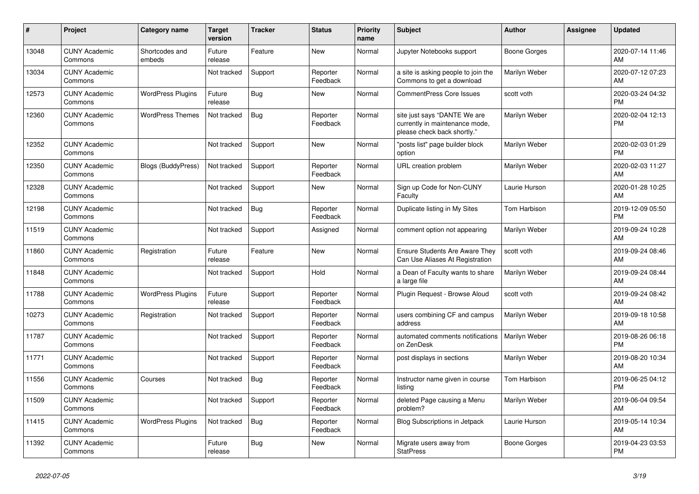| #     | <b>Project</b>                  | Category name             | <b>Target</b><br>version | <b>Tracker</b> | <b>Status</b>        | Priority<br>name | <b>Subject</b>                                                                                | <b>Author</b>       | Assignee | <b>Updated</b>                |
|-------|---------------------------------|---------------------------|--------------------------|----------------|----------------------|------------------|-----------------------------------------------------------------------------------------------|---------------------|----------|-------------------------------|
| 13048 | <b>CUNY Academic</b><br>Commons | Shortcodes and<br>embeds  | Future<br>release        | Feature        | New                  | Normal           | Jupyter Notebooks support                                                                     | Boone Gorges        |          | 2020-07-14 11:46<br>AM        |
| 13034 | <b>CUNY Academic</b><br>Commons |                           | Not tracked              | Support        | Reporter<br>Feedback | Normal           | a site is asking people to join the<br>Commons to get a download                              | Marilyn Weber       |          | 2020-07-12 07:23<br>AM        |
| 12573 | <b>CUNY Academic</b><br>Commons | <b>WordPress Plugins</b>  | Future<br>release        | Bug            | New                  | Normal           | <b>CommentPress Core Issues</b>                                                               | scott voth          |          | 2020-03-24 04:32<br><b>PM</b> |
| 12360 | <b>CUNY Academic</b><br>Commons | <b>WordPress Themes</b>   | Not tracked              | <b>Bug</b>     | Reporter<br>Feedback | Normal           | site just says "DANTE We are<br>currently in maintenance mode,<br>please check back shortly." | Marilyn Weber       |          | 2020-02-04 12:13<br><b>PM</b> |
| 12352 | <b>CUNY Academic</b><br>Commons |                           | Not tracked              | Support        | New                  | Normal           | "posts list" page builder block<br>option                                                     | Marilyn Weber       |          | 2020-02-03 01:29<br><b>PM</b> |
| 12350 | <b>CUNY Academic</b><br>Commons | <b>Blogs (BuddyPress)</b> | Not tracked              | Support        | Reporter<br>Feedback | Normal           | URL creation problem                                                                          | Marilyn Weber       |          | 2020-02-03 11:27<br>AM        |
| 12328 | <b>CUNY Academic</b><br>Commons |                           | Not tracked              | Support        | <b>New</b>           | Normal           | Sign up Code for Non-CUNY<br>Faculty                                                          | Laurie Hurson       |          | 2020-01-28 10:25<br>AM        |
| 12198 | <b>CUNY Academic</b><br>Commons |                           | Not tracked              | <b>Bug</b>     | Reporter<br>Feedback | Normal           | Duplicate listing in My Sites                                                                 | <b>Tom Harbison</b> |          | 2019-12-09 05:50<br><b>PM</b> |
| 11519 | <b>CUNY Academic</b><br>Commons |                           | Not tracked              | Support        | Assigned             | Normal           | comment option not appearing                                                                  | Marilyn Weber       |          | 2019-09-24 10:28<br>AM        |
| 11860 | <b>CUNY Academic</b><br>Commons | Registration              | Future<br>release        | Feature        | <b>New</b>           | Normal           | <b>Ensure Students Are Aware They</b><br>Can Use Aliases At Registration                      | scott voth          |          | 2019-09-24 08:46<br>AM        |
| 11848 | <b>CUNY Academic</b><br>Commons |                           | Not tracked              | Support        | Hold                 | Normal           | a Dean of Faculty wants to share<br>a large file                                              | Marilyn Weber       |          | 2019-09-24 08:44<br>AM        |
| 11788 | <b>CUNY Academic</b><br>Commons | <b>WordPress Plugins</b>  | Future<br>release        | Support        | Reporter<br>Feedback | Normal           | Plugin Request - Browse Aloud                                                                 | scott voth          |          | 2019-09-24 08:42<br>AM        |
| 10273 | <b>CUNY Academic</b><br>Commons | Registration              | Not tracked              | Support        | Reporter<br>Feedback | Normal           | users combining CF and campus<br>address                                                      | Marilyn Weber       |          | 2019-09-18 10:58<br>AM        |
| 11787 | <b>CUNY Academic</b><br>Commons |                           | Not tracked              | Support        | Reporter<br>Feedback | Normal           | automated comments notifications<br>on ZenDesk                                                | Marilyn Weber       |          | 2019-08-26 06:18<br><b>PM</b> |
| 11771 | <b>CUNY Academic</b><br>Commons |                           | Not tracked              | Support        | Reporter<br>Feedback | Normal           | post displays in sections                                                                     | Marilyn Weber       |          | 2019-08-20 10:34<br>AM        |
| 11556 | <b>CUNY Academic</b><br>Commons | Courses                   | Not tracked              | <b>Bug</b>     | Reporter<br>Feedback | Normal           | Instructor name given in course<br>listina                                                    | <b>Tom Harbison</b> |          | 2019-06-25 04:12<br><b>PM</b> |
| 11509 | <b>CUNY Academic</b><br>Commons |                           | Not tracked              | Support        | Reporter<br>Feedback | Normal           | deleted Page causing a Menu<br>problem?                                                       | Marilyn Weber       |          | 2019-06-04 09:54<br>AM        |
| 11415 | <b>CUNY Academic</b><br>Commons | <b>WordPress Plugins</b>  | Not tracked              | Bug            | Reporter<br>Feedback | Normal           | <b>Blog Subscriptions in Jetpack</b>                                                          | Laurie Hurson       |          | 2019-05-14 10:34<br>AM        |
| 11392 | <b>CUNY Academic</b><br>Commons |                           | Future<br>release        | <b>Bug</b>     | <b>New</b>           | Normal           | Migrate users away from<br><b>StatPress</b>                                                   | Boone Gorges        |          | 2019-04-23 03:53<br><b>PM</b> |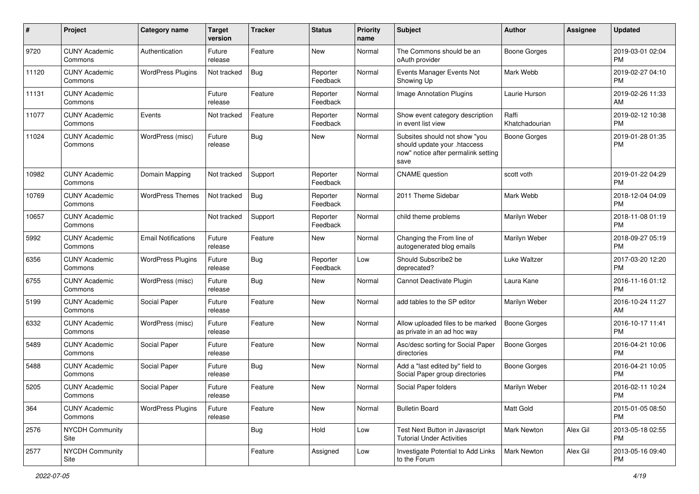| #     | Project                         | <b>Category name</b>       | <b>Target</b><br>version | <b>Tracker</b> | <b>Status</b>        | <b>Priority</b><br>name | Subject                                                                                                      | Author                  | <b>Assignee</b> | <b>Updated</b>                |
|-------|---------------------------------|----------------------------|--------------------------|----------------|----------------------|-------------------------|--------------------------------------------------------------------------------------------------------------|-------------------------|-----------------|-------------------------------|
| 9720  | <b>CUNY Academic</b><br>Commons | Authentication             | Future<br>release        | Feature        | New                  | Normal                  | The Commons should be an<br>oAuth provider                                                                   | <b>Boone Gorges</b>     |                 | 2019-03-01 02:04<br><b>PM</b> |
| 11120 | <b>CUNY Academic</b><br>Commons | <b>WordPress Plugins</b>   | Not tracked              | Bug            | Reporter<br>Feedback | Normal                  | Events Manager Events Not<br>Showing Up                                                                      | Mark Webb               |                 | 2019-02-27 04:10<br><b>PM</b> |
| 11131 | <b>CUNY Academic</b><br>Commons |                            | Future<br>release        | Feature        | Reporter<br>Feedback | Normal                  | <b>Image Annotation Plugins</b>                                                                              | Laurie Hurson           |                 | 2019-02-26 11:33<br>AM        |
| 11077 | <b>CUNY Academic</b><br>Commons | Events                     | Not tracked              | Feature        | Reporter<br>Feedback | Normal                  | Show event category description<br>in event list view                                                        | Raffi<br>Khatchadourian |                 | 2019-02-12 10:38<br>PM.       |
| 11024 | <b>CUNY Academic</b><br>Commons | WordPress (misc)           | Future<br>release        | Bug            | New                  | Normal                  | Subsites should not show "you<br>should update your .htaccess<br>now" notice after permalink setting<br>save | Boone Gorges            |                 | 2019-01-28 01:35<br><b>PM</b> |
| 10982 | <b>CUNY Academic</b><br>Commons | Domain Mapping             | Not tracked              | Support        | Reporter<br>Feedback | Normal                  | <b>CNAME</b> question                                                                                        | scott voth              |                 | 2019-01-22 04:29<br><b>PM</b> |
| 10769 | <b>CUNY Academic</b><br>Commons | <b>WordPress Themes</b>    | Not tracked              | <b>Bug</b>     | Reporter<br>Feedback | Normal                  | 2011 Theme Sidebar                                                                                           | Mark Webb               |                 | 2018-12-04 04:09<br><b>PM</b> |
| 10657 | <b>CUNY Academic</b><br>Commons |                            | Not tracked              | Support        | Reporter<br>Feedback | Normal                  | child theme problems                                                                                         | Marilyn Weber           |                 | 2018-11-08 01:19<br><b>PM</b> |
| 5992  | <b>CUNY Academic</b><br>Commons | <b>Email Notifications</b> | Future<br>release        | Feature        | New                  | Normal                  | Changing the From line of<br>autogenerated blog emails                                                       | Marilyn Weber           |                 | 2018-09-27 05:19<br><b>PM</b> |
| 6356  | <b>CUNY Academic</b><br>Commons | <b>WordPress Plugins</b>   | Future<br>release        | Bug            | Reporter<br>Feedback | Low                     | Should Subscribe2 be<br>deprecated?                                                                          | Luke Waltzer            |                 | 2017-03-20 12:20<br><b>PM</b> |
| 6755  | <b>CUNY Academic</b><br>Commons | WordPress (misc)           | Future<br>release        | Bug            | New                  | Normal                  | Cannot Deactivate Plugin                                                                                     | Laura Kane              |                 | 2016-11-16 01:12<br><b>PM</b> |
| 5199  | <b>CUNY Academic</b><br>Commons | Social Paper               | Future<br>release        | Feature        | New                  | Normal                  | add tables to the SP editor                                                                                  | Marilyn Weber           |                 | 2016-10-24 11:27<br>AM        |
| 6332  | <b>CUNY Academic</b><br>Commons | WordPress (misc)           | Future<br>release        | Feature        | New                  | Normal                  | Allow uploaded files to be marked<br>as private in an ad hoc way                                             | <b>Boone Gorges</b>     |                 | 2016-10-17 11:41<br><b>PM</b> |
| 5489  | <b>CUNY Academic</b><br>Commons | Social Paper               | Future<br>release        | Feature        | New                  | Normal                  | Asc/desc sorting for Social Paper<br>directories                                                             | <b>Boone Gorges</b>     |                 | 2016-04-21 10:06<br><b>PM</b> |
| 5488  | <b>CUNY Academic</b><br>Commons | Social Paper               | Future<br>release        | Bug            | New                  | Normal                  | Add a "last edited by" field to<br>Social Paper group directories                                            | Boone Gorges            |                 | 2016-04-21 10:05<br><b>PM</b> |
| 5205  | <b>CUNY Academic</b><br>Commons | Social Paper               | Future<br>release        | Feature        | New                  | Normal                  | Social Paper folders                                                                                         | Marilyn Weber           |                 | 2016-02-11 10:24<br>PM        |
| 364   | <b>CUNY Academic</b><br>Commons | <b>WordPress Plugins</b>   | Future<br>release        | Feature        | New                  | Normal                  | <b>Bulletin Board</b>                                                                                        | Matt Gold               |                 | 2015-01-05 08:50<br><b>PM</b> |
| 2576  | <b>NYCDH Community</b><br>Site  |                            |                          | <b>Bug</b>     | Hold                 | Low                     | Test Next Button in Javascript<br><b>Tutorial Under Activities</b>                                           | Mark Newton             | Alex Gil        | 2013-05-18 02:55<br><b>PM</b> |
| 2577  | NYCDH Community<br>Site         |                            |                          | Feature        | Assigned             | Low                     | Investigate Potential to Add Links<br>to the Forum                                                           | <b>Mark Newton</b>      | Alex Gil        | 2013-05-16 09:40<br><b>PM</b> |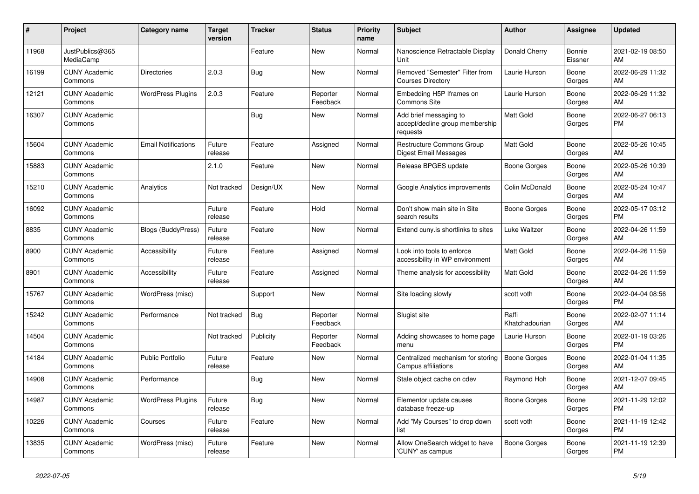| #     | Project                         | <b>Category name</b>       | <b>Target</b><br>version | <b>Tracker</b> | <b>Status</b>        | <b>Priority</b><br>name | <b>Subject</b>                                                        | <b>Author</b>           | Assignee          | <b>Updated</b>                |
|-------|---------------------------------|----------------------------|--------------------------|----------------|----------------------|-------------------------|-----------------------------------------------------------------------|-------------------------|-------------------|-------------------------------|
| 11968 | JustPublics@365<br>MediaCamp    |                            |                          | Feature        | New                  | Normal                  | Nanoscience Retractable Display<br>Unit                               | Donald Cherry           | Bonnie<br>Eissner | 2021-02-19 08:50<br>AM        |
| 16199 | <b>CUNY Academic</b><br>Commons | <b>Directories</b>         | 2.0.3                    | Bug            | New                  | Normal                  | Removed "Semester" Filter from<br><b>Courses Directory</b>            | Laurie Hurson           | Boone<br>Gorges   | 2022-06-29 11:32<br>AM        |
| 12121 | <b>CUNY Academic</b><br>Commons | <b>WordPress Plugins</b>   | 2.0.3                    | Feature        | Reporter<br>Feedback | Normal                  | Embedding H5P Iframes on<br>Commons Site                              | Laurie Hurson           | Boone<br>Gorges   | 2022-06-29 11:32<br>AM        |
| 16307 | <b>CUNY Academic</b><br>Commons |                            |                          | Bug            | <b>New</b>           | Normal                  | Add brief messaging to<br>accept/decline group membership<br>requests | Matt Gold               | Boone<br>Gorges   | 2022-06-27 06:13<br><b>PM</b> |
| 15604 | <b>CUNY Academic</b><br>Commons | <b>Email Notifications</b> | Future<br>release        | Feature        | Assigned             | Normal                  | Restructure Commons Group<br><b>Digest Email Messages</b>             | <b>Matt Gold</b>        | Boone<br>Gorges   | 2022-05-26 10:45<br><b>AM</b> |
| 15883 | <b>CUNY Academic</b><br>Commons |                            | 2.1.0                    | Feature        | New                  | Normal                  | Release BPGES update                                                  | Boone Gorges            | Boone<br>Gorges   | 2022-05-26 10:39<br>AM        |
| 15210 | <b>CUNY Academic</b><br>Commons | Analytics                  | Not tracked              | Design/UX      | New                  | Normal                  | Google Analytics improvements                                         | Colin McDonald          | Boone<br>Gorges   | 2022-05-24 10:47<br>AM        |
| 16092 | <b>CUNY Academic</b><br>Commons |                            | Future<br>release        | Feature        | Hold                 | Normal                  | Don't show main site in Site<br>search results                        | Boone Gorges            | Boone<br>Gorges   | 2022-05-17 03:12<br><b>PM</b> |
| 8835  | <b>CUNY Academic</b><br>Commons | <b>Blogs (BuddyPress)</b>  | Future<br>release        | Feature        | New                  | Normal                  | Extend cuny is shortlinks to sites                                    | Luke Waltzer            | Boone<br>Gorges   | 2022-04-26 11:59<br>AM.       |
| 8900  | <b>CUNY Academic</b><br>Commons | Accessibility              | Future<br>release        | Feature        | Assigned             | Normal                  | Look into tools to enforce<br>accessibility in WP environment         | Matt Gold               | Boone<br>Gorges   | 2022-04-26 11:59<br>AM        |
| 8901  | <b>CUNY Academic</b><br>Commons | Accessibility              | Future<br>release        | Feature        | Assigned             | Normal                  | Theme analysis for accessibility                                      | Matt Gold               | Boone<br>Gorges   | 2022-04-26 11:59<br>AM        |
| 15767 | <b>CUNY Academic</b><br>Commons | WordPress (misc)           |                          | Support        | New                  | Normal                  | Site loading slowly                                                   | scott voth              | Boone<br>Gorges   | 2022-04-04 08:56<br><b>PM</b> |
| 15242 | <b>CUNY Academic</b><br>Commons | Performance                | Not tracked              | <b>Bug</b>     | Reporter<br>Feedback | Normal                  | Slugist site                                                          | Raffi<br>Khatchadourian | Boone<br>Gorges   | 2022-02-07 11:14<br>AM        |
| 14504 | <b>CUNY Academic</b><br>Commons |                            | Not tracked              | Publicity      | Reporter<br>Feedback | Normal                  | Adding showcases to home page<br>menu                                 | Laurie Hurson           | Boone<br>Gorges   | 2022-01-19 03:26<br><b>PM</b> |
| 14184 | <b>CUNY Academic</b><br>Commons | <b>Public Portfolio</b>    | Future<br>release        | Feature        | <b>New</b>           | Normal                  | Centralized mechanism for storing<br>Campus affiliations              | <b>Boone Gorges</b>     | Boone<br>Gorges   | 2022-01-04 11:35<br>AM        |
| 14908 | <b>CUNY Academic</b><br>Commons | Performance                |                          | <b>Bug</b>     | <b>New</b>           | Normal                  | Stale object cache on cdev                                            | Raymond Hoh             | Boone<br>Gorges   | 2021-12-07 09:45<br>AM        |
| 14987 | <b>CUNY Academic</b><br>Commons | <b>WordPress Plugins</b>   | Future<br>release        | Bug            | <b>New</b>           | Normal                  | Elementor update causes<br>database freeze-up                         | Boone Gorges            | Boone<br>Gorges   | 2021-11-29 12:02<br><b>PM</b> |
| 10226 | <b>CUNY Academic</b><br>Commons | Courses                    | Future<br>release        | Feature        | New                  | Normal                  | Add "My Courses" to drop down<br>list                                 | scott voth              | Boone<br>Gorges   | 2021-11-19 12:42<br><b>PM</b> |
| 13835 | <b>CUNY Academic</b><br>Commons | WordPress (misc)           | Future<br>release        | Feature        | <b>New</b>           | Normal                  | Allow OneSearch widget to have<br>'CUNY' as campus                    | Boone Gorges            | Boone<br>Gorges   | 2021-11-19 12:39<br><b>PM</b> |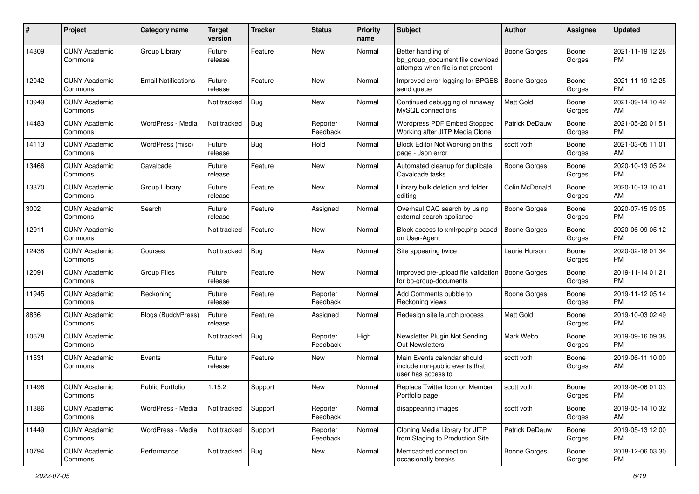| #     | Project                         | <b>Category name</b>       | <b>Target</b><br>version | <b>Tracker</b> | <b>Status</b>        | <b>Priority</b><br>name | <b>Subject</b>                                                                             | <b>Author</b>       | <b>Assignee</b> | <b>Updated</b>                |
|-------|---------------------------------|----------------------------|--------------------------|----------------|----------------------|-------------------------|--------------------------------------------------------------------------------------------|---------------------|-----------------|-------------------------------|
| 14309 | <b>CUNY Academic</b><br>Commons | Group Library              | Future<br>release        | Feature        | New                  | Normal                  | Better handling of<br>bp_group_document file download<br>attempts when file is not present | <b>Boone Gorges</b> | Boone<br>Gorges | 2021-11-19 12:28<br>PM.       |
| 12042 | <b>CUNY Academic</b><br>Commons | <b>Email Notifications</b> | Future<br>release        | Feature        | <b>New</b>           | Normal                  | Improved error logging for BPGES<br>send queue                                             | <b>Boone Gorges</b> | Boone<br>Gorges | 2021-11-19 12:25<br>PM        |
| 13949 | <b>CUNY Academic</b><br>Commons |                            | Not tracked              | Bug            | New                  | Normal                  | Continued debugging of runaway<br>MySQL connections                                        | <b>Matt Gold</b>    | Boone<br>Gorges | 2021-09-14 10:42<br>AM        |
| 14483 | <b>CUNY Academic</b><br>Commons | WordPress - Media          | Not tracked              | Bug            | Reporter<br>Feedback | Normal                  | Wordpress PDF Embed Stopped<br>Working after JITP Media Clone                              | Patrick DeDauw      | Boone<br>Gorges | 2021-05-20 01:51<br>PM        |
| 14113 | <b>CUNY Academic</b><br>Commons | WordPress (misc)           | Future<br>release        | Bug            | Hold                 | Normal                  | Block Editor Not Working on this<br>page - Json error                                      | scott voth          | Boone<br>Gorges | 2021-03-05 11:01<br>AM        |
| 13466 | <b>CUNY Academic</b><br>Commons | Cavalcade                  | Future<br>release        | Feature        | New                  | Normal                  | Automated cleanup for duplicate<br>Cavalcade tasks                                         | Boone Gorges        | Boone<br>Gorges | 2020-10-13 05:24<br><b>PM</b> |
| 13370 | <b>CUNY Academic</b><br>Commons | Group Library              | Future<br>release        | Feature        | New                  | Normal                  | Library bulk deletion and folder<br>editing                                                | Colin McDonald      | Boone<br>Gorges | 2020-10-13 10:41<br>AM        |
| 3002  | <b>CUNY Academic</b><br>Commons | Search                     | Future<br>release        | Feature        | Assigned             | Normal                  | Overhaul CAC search by using<br>external search appliance                                  | <b>Boone Gorges</b> | Boone<br>Gorges | 2020-07-15 03:05<br><b>PM</b> |
| 12911 | <b>CUNY Academic</b><br>Commons |                            | Not tracked              | Feature        | <b>New</b>           | Normal                  | Block access to xmlrpc.php based<br>on User-Agent                                          | <b>Boone Gorges</b> | Boone<br>Gorges | 2020-06-09 05:12<br>PM.       |
| 12438 | <b>CUNY Academic</b><br>Commons | Courses                    | Not tracked              | <b>Bug</b>     | <b>New</b>           | Normal                  | Site appearing twice                                                                       | Laurie Hurson       | Boone<br>Gorges | 2020-02-18 01:34<br><b>PM</b> |
| 12091 | <b>CUNY Academic</b><br>Commons | <b>Group Files</b>         | Future<br>release        | Feature        | New                  | Normal                  | Improved pre-upload file validation<br>for bp-group-documents                              | <b>Boone Gorges</b> | Boone<br>Gorges | 2019-11-14 01:21<br><b>PM</b> |
| 11945 | <b>CUNY Academic</b><br>Commons | Reckoning                  | Future<br>release        | Feature        | Reporter<br>Feedback | Normal                  | Add Comments bubble to<br>Reckoning views                                                  | <b>Boone Gorges</b> | Boone<br>Gorges | 2019-11-12 05:14<br><b>PM</b> |
| 8836  | <b>CUNY Academic</b><br>Commons | Blogs (BuddyPress)         | Future<br>release        | Feature        | Assigned             | Normal                  | Redesign site launch process                                                               | <b>Matt Gold</b>    | Boone<br>Gorges | 2019-10-03 02:49<br><b>PM</b> |
| 10678 | <b>CUNY Academic</b><br>Commons |                            | Not tracked              | Bug            | Reporter<br>Feedback | High                    | Newsletter Plugin Not Sending<br>Out Newsletters                                           | Mark Webb           | Boone<br>Gorges | 2019-09-16 09:38<br><b>PM</b> |
| 11531 | <b>CUNY Academic</b><br>Commons | Events                     | Future<br>release        | Feature        | New                  | Normal                  | Main Events calendar should<br>include non-public events that<br>user has access to        | scott voth          | Boone<br>Gorges | 2019-06-11 10:00<br>AM        |
| 11496 | <b>CUNY Academic</b><br>Commons | <b>Public Portfolio</b>    | 1.15.2                   | Support        | <b>New</b>           | Normal                  | Replace Twitter Icon on Member<br>Portfolio page                                           | scott voth          | Boone<br>Gorges | 2019-06-06 01:03<br>PM        |
| 11386 | <b>CUNY Academic</b><br>Commons | WordPress - Media          | Not tracked              | Support        | Reporter<br>Feedback | Normal                  | disappearing images                                                                        | scott voth          | Boone<br>Gorges | 2019-05-14 10:32<br>AM        |
| 11449 | <b>CUNY Academic</b><br>Commons | WordPress - Media          | Not tracked              | Support        | Reporter<br>Feedback | Normal                  | Cloning Media Library for JITP<br>from Staging to Production Site                          | Patrick DeDauw      | Boone<br>Gorges | 2019-05-13 12:00<br><b>PM</b> |
| 10794 | <b>CUNY Academic</b><br>Commons | Performance                | Not tracked              | <b>Bug</b>     | New                  | Normal                  | Memcached connection<br>occasionally breaks                                                | Boone Gorges        | Boone<br>Gorges | 2018-12-06 03:30<br><b>PM</b> |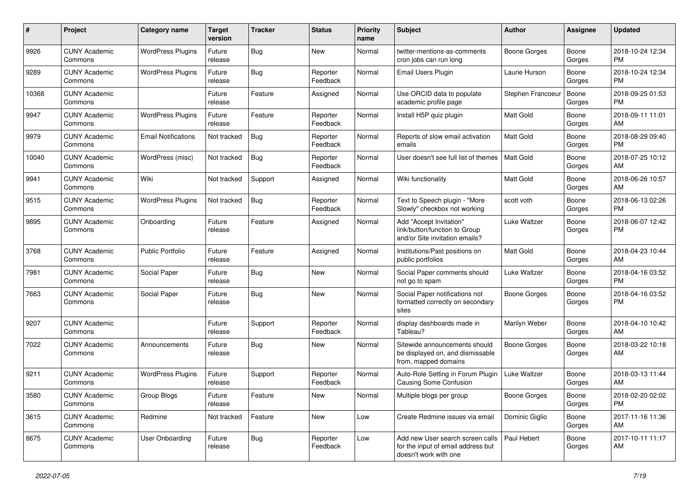| #     | Project                         | <b>Category name</b>       | <b>Target</b><br>version | <b>Tracker</b> | <b>Status</b>        | <b>Priority</b><br>name | <b>Subject</b>                                                                                  | <b>Author</b>       | Assignee        | <b>Updated</b>                |
|-------|---------------------------------|----------------------------|--------------------------|----------------|----------------------|-------------------------|-------------------------------------------------------------------------------------------------|---------------------|-----------------|-------------------------------|
| 9926  | <b>CUNY Academic</b><br>Commons | <b>WordPress Plugins</b>   | Future<br>release        | Bug            | New                  | Normal                  | twitter-mentions-as-comments<br>cron jobs can run long                                          | Boone Gorges        | Boone<br>Gorges | 2018-10-24 12:34<br>PM.       |
| 9289  | <b>CUNY Academic</b><br>Commons | <b>WordPress Plugins</b>   | Future<br>release        | Bug            | Reporter<br>Feedback | Normal                  | <b>Email Users Plugin</b>                                                                       | Laurie Hurson       | Boone<br>Gorges | 2018-10-24 12:34<br><b>PM</b> |
| 10368 | <b>CUNY Academic</b><br>Commons |                            | Future<br>release        | Feature        | Assigned             | Normal                  | Use ORCID data to populate<br>academic profile page                                             | Stephen Francoeu    | Boone<br>Gorges | 2018-09-25 01:53<br><b>PM</b> |
| 9947  | <b>CUNY Academic</b><br>Commons | <b>WordPress Plugins</b>   | Future<br>release        | Feature        | Reporter<br>Feedback | Normal                  | Install H5P quiz plugin                                                                         | Matt Gold           | Boone<br>Gorges | 2018-09-11 11:01<br>AM        |
| 9979  | <b>CUNY Academic</b><br>Commons | <b>Email Notifications</b> | Not tracked              | Bug            | Reporter<br>Feedback | Normal                  | Reports of slow email activation<br>emails                                                      | <b>Matt Gold</b>    | Boone<br>Gorges | 2018-08-29 09:40<br><b>PM</b> |
| 10040 | <b>CUNY Academic</b><br>Commons | WordPress (misc)           | Not tracked              | Bug            | Reporter<br>Feedback | Normal                  | User doesn't see full list of themes                                                            | Matt Gold           | Boone<br>Gorges | 2018-07-25 10:12<br>AM        |
| 9941  | <b>CUNY Academic</b><br>Commons | Wiki                       | Not tracked              | Support        | Assigned             | Normal                  | Wiki functionality                                                                              | <b>Matt Gold</b>    | Boone<br>Gorges | 2018-06-26 10:57<br>AM        |
| 9515  | <b>CUNY Academic</b><br>Commons | <b>WordPress Plugins</b>   | Not tracked              | Bug            | Reporter<br>Feedback | Normal                  | Text to Speech plugin - "More<br>Slowly" checkbox not working                                   | scott voth          | Boone<br>Gorges | 2018-06-13 02:26<br>PM        |
| 9895  | <b>CUNY Academic</b><br>Commons | Onboarding                 | Future<br>release        | Feature        | Assigned             | Normal                  | Add "Accept Invitation"<br>link/button/function to Group<br>and/or Site invitation emails?      | Luke Waltzer        | Boone<br>Gorges | 2018-06-07 12:42<br><b>PM</b> |
| 3768  | <b>CUNY Academic</b><br>Commons | <b>Public Portfolio</b>    | Future<br>release        | Feature        | Assigned             | Normal                  | Institutions/Past positions on<br>public portfolios                                             | <b>Matt Gold</b>    | Boone<br>Gorges | 2018-04-23 10:44<br>AM        |
| 7981  | <b>CUNY Academic</b><br>Commons | Social Paper               | Future<br>release        | Bug            | New                  | Normal                  | Social Paper comments should<br>not go to spam                                                  | Luke Waltzer        | Boone<br>Gorges | 2018-04-16 03:52<br><b>PM</b> |
| 7663  | <b>CUNY Academic</b><br>Commons | Social Paper               | Future<br>release        | Bug            | New                  | Normal                  | Social Paper notifications not<br>formatted correctly on secondary<br>sites                     | Boone Gorges        | Boone<br>Gorges | 2018-04-16 03:52<br><b>PM</b> |
| 9207  | <b>CUNY Academic</b><br>Commons |                            | Future<br>release        | Support        | Reporter<br>Feedback | Normal                  | display dashboards made in<br>Tableau?                                                          | Marilyn Weber       | Boone<br>Gorges | 2018-04-10 10:42<br>AM        |
| 7022  | <b>CUNY Academic</b><br>Commons | Announcements              | Future<br>release        | Bug            | New                  | Normal                  | Sitewide announcements should<br>be displayed on, and dismissable<br>from, mapped domains       | Boone Gorges        | Boone<br>Gorges | 2018-03-22 10:18<br>AM        |
| 9211  | <b>CUNY Academic</b><br>Commons | <b>WordPress Plugins</b>   | Future<br>release        | Support        | Reporter<br>Feedback | Normal                  | Auto-Role Setting in Forum Plugin<br><b>Causing Some Confusion</b>                              | Luke Waltzer        | Boone<br>Gorges | 2018-03-13 11:44<br>AM        |
| 3580  | <b>CUNY Academic</b><br>Commons | <b>Group Blogs</b>         | Future<br>release        | Feature        | New                  | Normal                  | Multiple blogs per group                                                                        | <b>Boone Gorges</b> | Boone<br>Gorges | 2018-02-20 02:02<br><b>PM</b> |
| 3615  | <b>CUNY Academic</b><br>Commons | Redmine                    | Not tracked              | Feature        | New                  | Low                     | Create Redmine issues via email                                                                 | Dominic Giglio      | Boone<br>Gorges | 2017-11-16 11:36<br>AM        |
| 8675  | <b>CUNY Academic</b><br>Commons | User Onboarding            | Future<br>release        | Bug            | Reporter<br>Feedback | Low                     | Add new User search screen calls<br>for the input of email address but<br>doesn't work with one | Paul Hebert         | Boone<br>Gorges | 2017-10-11 11:17<br>AM        |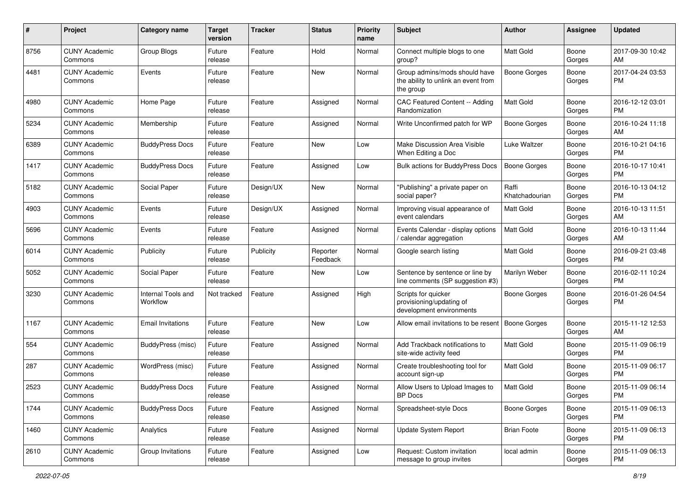| #    | Project                         | <b>Category name</b>           | <b>Target</b><br>version | <b>Tracker</b> | <b>Status</b>        | <b>Priority</b><br>name | <b>Subject</b>                                                                    | Author                  | Assignee        | <b>Updated</b>                |
|------|---------------------------------|--------------------------------|--------------------------|----------------|----------------------|-------------------------|-----------------------------------------------------------------------------------|-------------------------|-----------------|-------------------------------|
| 8756 | <b>CUNY Academic</b><br>Commons | Group Blogs                    | Future<br>release        | Feature        | Hold                 | Normal                  | Connect multiple blogs to one<br>group?                                           | <b>Matt Gold</b>        | Boone<br>Gorges | 2017-09-30 10:42<br>AM        |
| 4481 | <b>CUNY Academic</b><br>Commons | Events                         | Future<br>release        | Feature        | New                  | Normal                  | Group admins/mods should have<br>the ability to unlink an event from<br>the group | <b>Boone Gorges</b>     | Boone<br>Gorges | 2017-04-24 03:53<br><b>PM</b> |
| 4980 | <b>CUNY Academic</b><br>Commons | Home Page                      | Future<br>release        | Feature        | Assigned             | Normal                  | CAC Featured Content -- Adding<br>Randomization                                   | <b>Matt Gold</b>        | Boone<br>Gorges | 2016-12-12 03:01<br><b>PM</b> |
| 5234 | <b>CUNY Academic</b><br>Commons | Membership                     | Future<br>release        | Feature        | Assigned             | Normal                  | Write Unconfirmed patch for WP                                                    | Boone Gorges            | Boone<br>Gorges | 2016-10-24 11:18<br>AM        |
| 6389 | <b>CUNY Academic</b><br>Commons | <b>BuddyPress Docs</b>         | Future<br>release        | Feature        | New                  | Low                     | Make Discussion Area Visible<br>When Editing a Doc                                | Luke Waltzer            | Boone<br>Gorges | 2016-10-21 04:16<br><b>PM</b> |
| 1417 | <b>CUNY Academic</b><br>Commons | <b>BuddyPress Docs</b>         | Future<br>release        | Feature        | Assigned             | Low                     | Bulk actions for BuddyPress Docs                                                  | Boone Gorges            | Boone<br>Gorges | 2016-10-17 10:41<br><b>PM</b> |
| 5182 | <b>CUNY Academic</b><br>Commons | Social Paper                   | Future<br>release        | Design/UX      | New                  | Normal                  | "Publishing" a private paper on<br>social paper?                                  | Raffi<br>Khatchadourian | Boone<br>Gorges | 2016-10-13 04:12<br><b>PM</b> |
| 4903 | <b>CUNY Academic</b><br>Commons | Events                         | Future<br>release        | Design/UX      | Assigned             | Normal                  | Improving visual appearance of<br>event calendars                                 | <b>Matt Gold</b>        | Boone<br>Gorges | 2016-10-13 11:51<br>AM        |
| 5696 | <b>CUNY Academic</b><br>Commons | Events                         | Future<br>release        | Feature        | Assigned             | Normal                  | Events Calendar - display options<br>calendar aggregation                         | Matt Gold               | Boone<br>Gorges | 2016-10-13 11:44<br>AM        |
| 6014 | <b>CUNY Academic</b><br>Commons | Publicity                      | Future<br>release        | Publicity      | Reporter<br>Feedback | Normal                  | Google search listing                                                             | <b>Matt Gold</b>        | Boone<br>Gorges | 2016-09-21 03:48<br><b>PM</b> |
| 5052 | <b>CUNY Academic</b><br>Commons | Social Paper                   | Future<br>release        | Feature        | New                  | Low                     | Sentence by sentence or line by<br>line comments (SP suggestion #3)               | Marilyn Weber           | Boone<br>Gorges | 2016-02-11 10:24<br><b>PM</b> |
| 3230 | <b>CUNY Academic</b><br>Commons | Internal Tools and<br>Workflow | Not tracked              | Feature        | Assigned             | High                    | Scripts for quicker<br>provisioning/updating of<br>development environments       | Boone Gorges            | Boone<br>Gorges | 2016-01-26 04:54<br><b>PM</b> |
| 1167 | <b>CUNY Academic</b><br>Commons | <b>Email Invitations</b>       | Future<br>release        | Feature        | New                  | Low                     | Allow email invitations to be resent                                              | <b>Boone Gorges</b>     | Boone<br>Gorges | 2015-11-12 12:53<br>AM        |
| 554  | <b>CUNY Academic</b><br>Commons | BuddyPress (misc)              | Future<br>release        | Feature        | Assigned             | Normal                  | Add Trackback notifications to<br>site-wide activity feed                         | Matt Gold               | Boone<br>Gorges | 2015-11-09 06:19<br><b>PM</b> |
| 287  | <b>CUNY Academic</b><br>Commons | WordPress (misc)               | Future<br>release        | Feature        | Assigned             | Normal                  | Create troubleshooting tool for<br>account sign-up                                | Matt Gold               | Boone<br>Gorges | 2015-11-09 06:17<br><b>PM</b> |
| 2523 | <b>CUNY Academic</b><br>Commons | <b>BuddyPress Docs</b>         | Future<br>release        | Feature        | Assigned             | Normal                  | Allow Users to Upload Images to<br>BP Docs                                        | <b>Matt Gold</b>        | Boone<br>Gorges | 2015-11-09 06:14<br>PM        |
| 1744 | <b>CUNY Academic</b><br>Commons | <b>BuddyPress Docs</b>         | Future<br>release        | Feature        | Assigned             | Normal                  | Spreadsheet-style Docs                                                            | Boone Gorges            | Boone<br>Gorges | 2015-11-09 06:13<br><b>PM</b> |
| 1460 | <b>CUNY Academic</b><br>Commons | Analytics                      | Future<br>release        | Feature        | Assigned             | Normal                  | Update System Report                                                              | <b>Brian Foote</b>      | Boone<br>Gorges | 2015-11-09 06:13<br><b>PM</b> |
| 2610 | <b>CUNY Academic</b><br>Commons | Group Invitations              | Future<br>release        | Feature        | Assigned             | Low                     | Request: Custom invitation<br>message to group invites                            | local admin             | Boone<br>Gorges | 2015-11-09 06:13<br>PM        |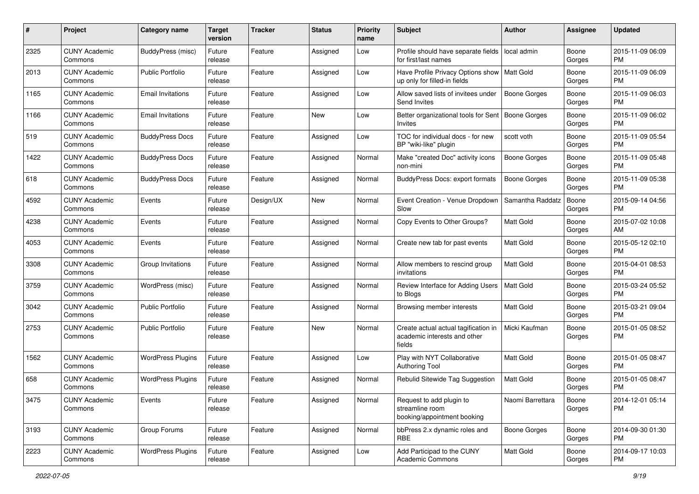| #    | Project                         | <b>Category name</b>     | <b>Target</b><br>version | Tracker   | <b>Status</b> | Priority<br>name | <b>Subject</b>                                                                 | Author              | Assignee        | <b>Updated</b>                |
|------|---------------------------------|--------------------------|--------------------------|-----------|---------------|------------------|--------------------------------------------------------------------------------|---------------------|-----------------|-------------------------------|
| 2325 | <b>CUNY Academic</b><br>Commons | BuddyPress (misc)        | Future<br>release        | Feature   | Assigned      | Low              | Profile should have separate fields<br>for first/last names                    | local admin         | Boone<br>Gorges | 2015-11-09 06:09<br>PM        |
| 2013 | <b>CUNY Academic</b><br>Commons | <b>Public Portfolio</b>  | Future<br>release        | Feature   | Assigned      | Low              | Have Profile Privacy Options show<br>up only for filled-in fields              | Matt Gold           | Boone<br>Gorges | 2015-11-09 06:09<br><b>PM</b> |
| 1165 | <b>CUNY Academic</b><br>Commons | <b>Email Invitations</b> | Future<br>release        | Feature   | Assigned      | Low              | Allow saved lists of invitees under<br>Send Invites                            | <b>Boone Gorges</b> | Boone<br>Gorges | 2015-11-09 06:03<br><b>PM</b> |
| 1166 | <b>CUNY Academic</b><br>Commons | <b>Email Invitations</b> | Future<br>release        | Feature   | New           | Low              | Better organizational tools for Sent<br>Invites                                | Boone Gorges        | Boone<br>Gorges | 2015-11-09 06:02<br><b>PM</b> |
| 519  | <b>CUNY Academic</b><br>Commons | <b>BuddyPress Docs</b>   | Future<br>release        | Feature   | Assigned      | Low              | TOC for individual docs - for new<br>BP "wiki-like" plugin                     | scott voth          | Boone<br>Gorges | 2015-11-09 05:54<br><b>PM</b> |
| 1422 | <b>CUNY Academic</b><br>Commons | <b>BuddyPress Docs</b>   | Future<br>release        | Feature   | Assigned      | Normal           | Make "created Doc" activity icons<br>non-mini                                  | <b>Boone Gorges</b> | Boone<br>Gorges | 2015-11-09 05:48<br><b>PM</b> |
| 618  | <b>CUNY Academic</b><br>Commons | <b>BuddyPress Docs</b>   | Future<br>release        | Feature   | Assigned      | Normal           | <b>BuddyPress Docs: export formats</b>                                         | <b>Boone Gorges</b> | Boone<br>Gorges | 2015-11-09 05:38<br><b>PM</b> |
| 4592 | <b>CUNY Academic</b><br>Commons | Events                   | Future<br>release        | Design/UX | New           | Normal           | Event Creation - Venue Dropdown<br>Slow                                        | Samantha Raddatz    | Boone<br>Gorges | 2015-09-14 04:56<br>PM        |
| 4238 | <b>CUNY Academic</b><br>Commons | Events                   | Future<br>release        | Feature   | Assigned      | Normal           | Copy Events to Other Groups?                                                   | Matt Gold           | Boone<br>Gorges | 2015-07-02 10:08<br>AM        |
| 4053 | CUNY Academic<br>Commons        | Events                   | Future<br>release        | Feature   | Assigned      | Normal           | Create new tab for past events                                                 | <b>Matt Gold</b>    | Boone<br>Gorges | 2015-05-12 02:10<br><b>PM</b> |
| 3308 | <b>CUNY Academic</b><br>Commons | Group Invitations        | Future<br>release        | Feature   | Assigned      | Normal           | Allow members to rescind group<br>invitations                                  | <b>Matt Gold</b>    | Boone<br>Gorges | 2015-04-01 08:53<br><b>PM</b> |
| 3759 | <b>CUNY Academic</b><br>Commons | WordPress (misc)         | Future<br>release        | Feature   | Assigned      | Normal           | Review Interface for Adding Users<br>to Blogs                                  | Matt Gold           | Boone<br>Gorges | 2015-03-24 05:52<br><b>PM</b> |
| 3042 | <b>CUNY Academic</b><br>Commons | <b>Public Portfolio</b>  | Future<br>release        | Feature   | Assigned      | Normal           | Browsing member interests                                                      | <b>Matt Gold</b>    | Boone<br>Gorges | 2015-03-21 09:04<br><b>PM</b> |
| 2753 | <b>CUNY Academic</b><br>Commons | <b>Public Portfolio</b>  | Future<br>release        | Feature   | New           | Normal           | Create actual actual tagification in<br>academic interests and other<br>fields | Micki Kaufman       | Boone<br>Gorges | 2015-01-05 08:52<br><b>PM</b> |
| 1562 | <b>CUNY Academic</b><br>Commons | <b>WordPress Plugins</b> | Future<br>release        | Feature   | Assigned      | Low              | Play with NYT Collaborative<br><b>Authoring Tool</b>                           | <b>Matt Gold</b>    | Boone<br>Gorges | 2015-01-05 08:47<br><b>PM</b> |
| 658  | <b>CUNY Academic</b><br>Commons | <b>WordPress Plugins</b> | Future<br>release        | Feature   | Assigned      | Normal           | Rebulid Sitewide Tag Suggestion                                                | <b>Matt Gold</b>    | Boone<br>Gorges | 2015-01-05 08:47<br><b>PM</b> |
| 3475 | <b>CUNY Academic</b><br>Commons | Events                   | Future<br>release        | Feature   | Assigned      | Normal           | Request to add plugin to<br>streamline room<br>booking/appointment booking     | Naomi Barrettara    | Boone<br>Gorges | 2014-12-01 05:14<br><b>PM</b> |
| 3193 | <b>CUNY Academic</b><br>Commons | Group Forums             | Future<br>release        | Feature   | Assigned      | Normal           | bbPress 2.x dynamic roles and<br>RBE                                           | Boone Gorges        | Boone<br>Gorges | 2014-09-30 01:30<br><b>PM</b> |
| 2223 | <b>CUNY Academic</b><br>Commons | <b>WordPress Plugins</b> | Future<br>release        | Feature   | Assigned      | Low              | Add Participad to the CUNY<br>Academic Commons                                 | Matt Gold           | Boone<br>Gorges | 2014-09-17 10:03<br>PM        |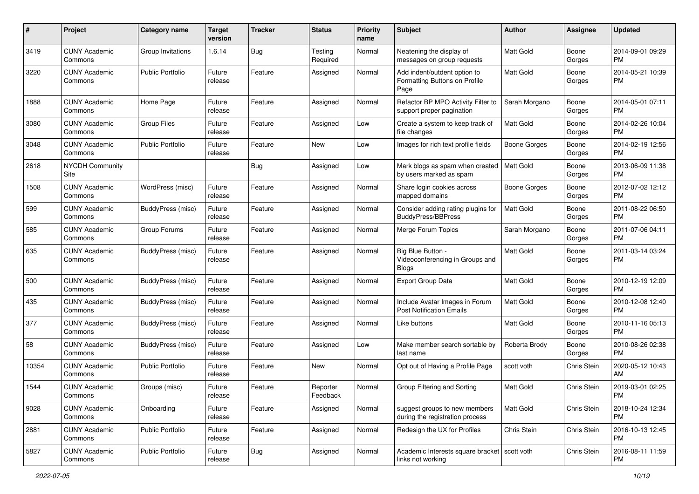| #     | Project                         | <b>Category name</b>    | <b>Target</b><br>version | <b>Tracker</b> | <b>Status</b>        | <b>Priority</b><br>name | Subject                                                               | Author              | <b>Assignee</b> | <b>Updated</b>                |
|-------|---------------------------------|-------------------------|--------------------------|----------------|----------------------|-------------------------|-----------------------------------------------------------------------|---------------------|-----------------|-------------------------------|
| 3419  | <b>CUNY Academic</b><br>Commons | Group Invitations       | 1.6.14                   | <b>Bug</b>     | Testing<br>Required  | Normal                  | Neatening the display of<br>messages on group requests                | Matt Gold           | Boone<br>Gorges | 2014-09-01 09:29<br><b>PM</b> |
| 3220  | <b>CUNY Academic</b><br>Commons | <b>Public Portfolio</b> | Future<br>release        | Feature        | Assigned             | Normal                  | Add indent/outdent option to<br>Formatting Buttons on Profile<br>Page | Matt Gold           | Boone<br>Gorges | 2014-05-21 10:39<br><b>PM</b> |
| 1888  | <b>CUNY Academic</b><br>Commons | Home Page               | Future<br>release        | Feature        | Assigned             | Normal                  | Refactor BP MPO Activity Filter to<br>support proper pagination       | Sarah Morgano       | Boone<br>Gorges | 2014-05-01 07:11<br><b>PM</b> |
| 3080  | <b>CUNY Academic</b><br>Commons | <b>Group Files</b>      | Future<br>release        | Feature        | Assigned             | Low                     | Create a system to keep track of<br>file changes                      | <b>Matt Gold</b>    | Boone<br>Gorges | 2014-02-26 10:04<br><b>PM</b> |
| 3048  | <b>CUNY Academic</b><br>Commons | <b>Public Portfolio</b> | Future<br>release        | Feature        | New                  | Low                     | Images for rich text profile fields                                   | <b>Boone Gorges</b> | Boone<br>Gorges | 2014-02-19 12:56<br><b>PM</b> |
| 2618  | <b>NYCDH Community</b><br>Site  |                         |                          | Bug            | Assigned             | Low                     | Mark blogs as spam when created<br>by users marked as spam            | Matt Gold           | Boone<br>Gorges | 2013-06-09 11:38<br><b>PM</b> |
| 1508  | <b>CUNY Academic</b><br>Commons | WordPress (misc)        | Future<br>release        | Feature        | Assigned             | Normal                  | Share login cookies across<br>mapped domains                          | <b>Boone Gorges</b> | Boone<br>Gorges | 2012-07-02 12:12<br><b>PM</b> |
| 599   | <b>CUNY Academic</b><br>Commons | BuddyPress (misc)       | Future<br>release        | Feature        | Assigned             | Normal                  | Consider adding rating plugins for<br><b>BuddyPress/BBPress</b>       | <b>Matt Gold</b>    | Boone<br>Gorges | 2011-08-22 06:50<br><b>PM</b> |
| 585   | <b>CUNY Academic</b><br>Commons | Group Forums            | Future<br>release        | Feature        | Assigned             | Normal                  | Merge Forum Topics                                                    | Sarah Morgano       | Boone<br>Gorges | 2011-07-06 04:11<br><b>PM</b> |
| 635   | <b>CUNY Academic</b><br>Commons | BuddyPress (misc)       | Future<br>release        | Feature        | Assigned             | Normal                  | Big Blue Button -<br>Videoconferencing in Groups and<br>Blogs         | <b>Matt Gold</b>    | Boone<br>Gorges | 2011-03-14 03:24<br><b>PM</b> |
| 500   | <b>CUNY Academic</b><br>Commons | BuddyPress (misc)       | Future<br>release        | Feature        | Assigned             | Normal                  | <b>Export Group Data</b>                                              | <b>Matt Gold</b>    | Boone<br>Gorges | 2010-12-19 12:09<br><b>PM</b> |
| 435   | <b>CUNY Academic</b><br>Commons | BuddyPress (misc)       | Future<br>release        | Feature        | Assigned             | Normal                  | Include Avatar Images in Forum<br><b>Post Notification Emails</b>     | <b>Matt Gold</b>    | Boone<br>Gorges | 2010-12-08 12:40<br><b>PM</b> |
| 377   | <b>CUNY Academic</b><br>Commons | BuddyPress (misc)       | Future<br>release        | Feature        | Assigned             | Normal                  | Like buttons                                                          | <b>Matt Gold</b>    | Boone<br>Gorges | 2010-11-16 05:13<br><b>PM</b> |
| 58    | <b>CUNY Academic</b><br>Commons | BuddyPress (misc)       | Future<br>release        | Feature        | Assigned             | Low                     | Make member search sortable by<br>last name                           | Roberta Brody       | Boone<br>Gorges | 2010-08-26 02:38<br><b>PM</b> |
| 10354 | <b>CUNY Academic</b><br>Commons | <b>Public Portfolio</b> | Future<br>release        | Feature        | New                  | Normal                  | Opt out of Having a Profile Page                                      | scott voth          | Chris Stein     | 2020-05-12 10:43<br>AM        |
| 1544  | <b>CUNY Academic</b><br>Commons | Groups (misc)           | Future<br>release        | Feature        | Reporter<br>Feedback | Normal                  | Group Filtering and Sorting                                           | Matt Gold           | Chris Stein     | 2019-03-01 02:25<br>PM        |
| 9028  | <b>CUNY Academic</b><br>Commons | Onboarding              | Future<br>release        | Feature        | Assigned             | Normal                  | suggest groups to new members<br>during the registration process      | Matt Gold           | Chris Stein     | 2018-10-24 12:34<br><b>PM</b> |
| 2881  | <b>CUNY Academic</b><br>Commons | <b>Public Portfolio</b> | Future<br>release        | Feature        | Assigned             | Normal                  | Redesign the UX for Profiles                                          | Chris Stein         | Chris Stein     | 2016-10-13 12:45<br><b>PM</b> |
| 5827  | <b>CUNY Academic</b><br>Commons | Public Portfolio        | Future<br>release        | <b>Bug</b>     | Assigned             | Normal                  | Academic Interests square bracket   scott voth<br>links not working   |                     | Chris Stein     | 2016-08-11 11:59<br><b>PM</b> |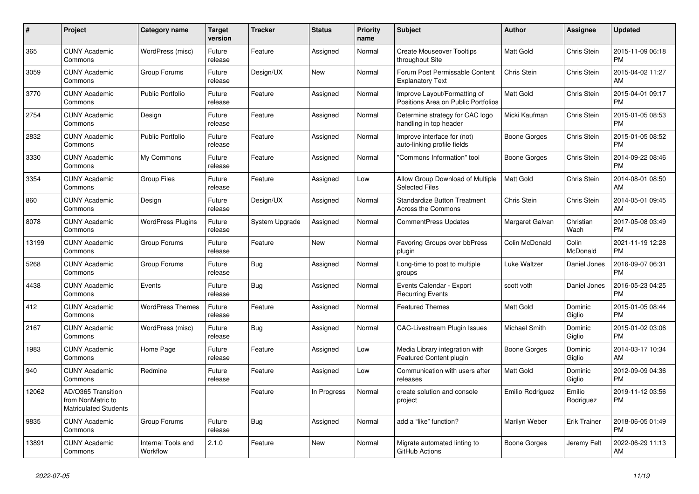| $\pmb{\#}$ | <b>Project</b>                                                          | Category name                  | <b>Target</b><br>version | <b>Tracker</b> | <b>Status</b> | <b>Priority</b><br>name | <b>Subject</b>                                                      | <b>Author</b>        | Assignee            | <b>Updated</b>                |
|------------|-------------------------------------------------------------------------|--------------------------------|--------------------------|----------------|---------------|-------------------------|---------------------------------------------------------------------|----------------------|---------------------|-------------------------------|
| 365        | <b>CUNY Academic</b><br>Commons                                         | WordPress (misc)               | Future<br>release        | Feature        | Assigned      | Normal                  | <b>Create Mouseover Tooltips</b><br>throughout Site                 | <b>Matt Gold</b>     | Chris Stein         | 2015-11-09 06:18<br><b>PM</b> |
| 3059       | <b>CUNY Academic</b><br>Commons                                         | Group Forums                   | Future<br>release        | Design/UX      | New           | Normal                  | Forum Post Permissable Content<br><b>Explanatory Text</b>           | Chris Stein          | Chris Stein         | 2015-04-02 11:27<br>AM        |
| 3770       | <b>CUNY Academic</b><br>Commons                                         | <b>Public Portfolio</b>        | Future<br>release        | Feature        | Assigned      | Normal                  | Improve Layout/Formatting of<br>Positions Area on Public Portfolios | Matt Gold            | Chris Stein         | 2015-04-01 09:17<br><b>PM</b> |
| 2754       | <b>CUNY Academic</b><br>Commons                                         | Design                         | Future<br>release        | Feature        | Assigned      | Normal                  | Determine strategy for CAC logo<br>handling in top header           | Micki Kaufman        | Chris Stein         | 2015-01-05 08:53<br><b>PM</b> |
| 2832       | <b>CUNY Academic</b><br>Commons                                         | <b>Public Portfolio</b>        | Future<br>release        | Feature        | Assigned      | Normal                  | Improve interface for (not)<br>auto-linking profile fields          | Boone Gorges         | Chris Stein         | 2015-01-05 08:52<br><b>PM</b> |
| 3330       | <b>CUNY Academic</b><br>Commons                                         | My Commons                     | Future<br>release        | Feature        | Assigned      | Normal                  | 'Commons Information" tool                                          | Boone Gorges         | Chris Stein         | 2014-09-22 08:46<br><b>PM</b> |
| 3354       | <b>CUNY Academic</b><br>Commons                                         | <b>Group Files</b>             | Future<br>release        | Feature        | Assigned      | Low                     | Allow Group Download of Multiple<br><b>Selected Files</b>           | <b>Matt Gold</b>     | Chris Stein         | 2014-08-01 08:50<br>AM        |
| 860        | <b>CUNY Academic</b><br>Commons                                         | Design                         | Future<br>release        | Design/UX      | Assigned      | Normal                  | <b>Standardize Button Treatment</b><br><b>Across the Commons</b>    | Chris Stein          | Chris Stein         | 2014-05-01 09:45<br>AM        |
| 8078       | <b>CUNY Academic</b><br>Commons                                         | <b>WordPress Plugins</b>       | Future<br>release        | System Upgrade | Assigned      | Normal                  | <b>CommentPress Updates</b>                                         | Margaret Galvan      | Christian<br>Wach   | 2017-05-08 03:49<br><b>PM</b> |
| 13199      | <b>CUNY Academic</b><br>Commons                                         | Group Forums                   | Future<br>release        | Feature        | <b>New</b>    | Normal                  | <b>Favoring Groups over bbPress</b><br>plugin                       | Colin McDonald       | Colin<br>McDonald   | 2021-11-19 12:28<br><b>PM</b> |
| 5268       | <b>CUNY Academic</b><br>Commons                                         | Group Forums                   | Future<br>release        | Bug            | Assigned      | Normal                  | Long-time to post to multiple<br>groups                             | Luke Waltzer         | Daniel Jones        | 2016-09-07 06:31<br><b>PM</b> |
| 4438       | <b>CUNY Academic</b><br>Commons                                         | Events                         | Future<br>release        | Bug            | Assigned      | Normal                  | Events Calendar - Export<br><b>Recurring Events</b>                 | scott voth           | Daniel Jones        | 2016-05-23 04:25<br><b>PM</b> |
| 412        | <b>CUNY Academic</b><br>Commons                                         | <b>WordPress Themes</b>        | Future<br>release        | Feature        | Assigned      | Normal                  | <b>Featured Themes</b>                                              | Matt Gold            | Dominic<br>Giglio   | 2015-01-05 08:44<br><b>PM</b> |
| 2167       | <b>CUNY Academic</b><br>Commons                                         | WordPress (misc)               | Future<br>release        | Bug            | Assigned      | Normal                  | <b>CAC-Livestream Plugin Issues</b>                                 | <b>Michael Smith</b> | Dominic<br>Giglio   | 2015-01-02 03:06<br><b>PM</b> |
| 1983       | <b>CUNY Academic</b><br>Commons                                         | Home Page                      | Future<br>release        | Feature        | Assigned      | Low                     | Media Library integration with<br><b>Featured Content plugin</b>    | Boone Gorges         | Dominic<br>Giglio   | 2014-03-17 10:34<br>AM        |
| 940        | <b>CUNY Academic</b><br>Commons                                         | Redmine                        | Future<br>release        | Feature        | Assigned      | Low                     | Communication with users after<br>releases                          | <b>Matt Gold</b>     | Dominic<br>Giglio   | 2012-09-09 04:36<br><b>PM</b> |
| 12062      | AD/O365 Transition<br>from NonMatric to<br><b>Matriculated Students</b> |                                |                          | Feature        | In Progress   | Normal                  | create solution and console<br>project                              | Emilio Rodriguez     | Emilio<br>Rodriguez | 2019-11-12 03:56<br><b>PM</b> |
| 9835       | <b>CUNY Academic</b><br>Commons                                         | Group Forums                   | Future<br>release        | Bug            | Assigned      | Normal                  | add a "like" function?                                              | Marilyn Weber        | Erik Trainer        | 2018-06-05 01:49<br><b>PM</b> |
| 13891      | <b>CUNY Academic</b><br>Commons                                         | Internal Tools and<br>Workflow | 2.1.0                    | Feature        | <b>New</b>    | Normal                  | Migrate automated linting to<br>GitHub Actions                      | Boone Gorges         | Jeremy Felt         | 2022-06-29 11:13<br>AM        |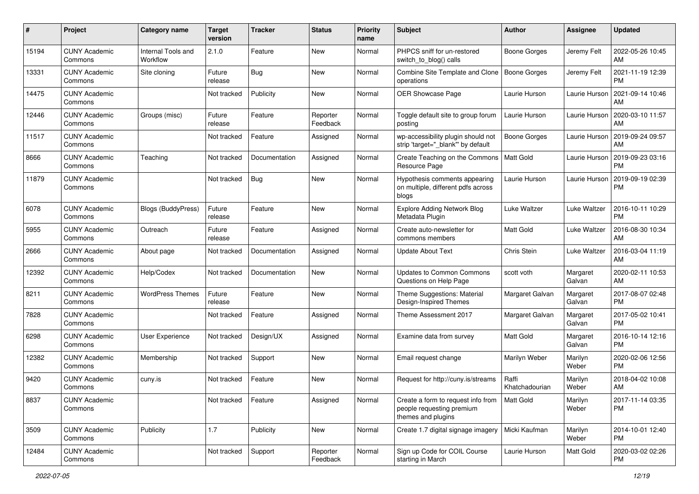| #     | Project                         | <b>Category name</b>           | <b>Target</b><br>version | <b>Tracker</b> | <b>Status</b>        | <b>Priority</b><br>name | <b>Subject</b>                                                                        | Author                  | <b>Assignee</b>     | <b>Updated</b>                |
|-------|---------------------------------|--------------------------------|--------------------------|----------------|----------------------|-------------------------|---------------------------------------------------------------------------------------|-------------------------|---------------------|-------------------------------|
| 15194 | <b>CUNY Academic</b><br>Commons | Internal Tools and<br>Workflow | 2.1.0                    | Feature        | <b>New</b>           | Normal                  | PHPCS sniff for un-restored<br>switch to blog() calls                                 | <b>Boone Gorges</b>     | Jeremy Felt         | 2022-05-26 10:45<br>AM.       |
| 13331 | <b>CUNY Academic</b><br>Commons | Site cloning                   | Future<br>release        | Bug            | New                  | Normal                  | Combine Site Template and Clone<br>operations                                         | Boone Gorges            | Jeremy Felt         | 2021-11-19 12:39<br><b>PM</b> |
| 14475 | <b>CUNY Academic</b><br>Commons |                                | Not tracked              | Publicity      | New                  | Normal                  | OER Showcase Page                                                                     | Laurie Hurson           | Laurie Hurson       | 2021-09-14 10:46<br>AM        |
| 12446 | <b>CUNY Academic</b><br>Commons | Groups (misc)                  | Future<br>release        | Feature        | Reporter<br>Feedback | Normal                  | Toggle default site to group forum<br>posting                                         | Laurie Hurson           | Laurie Hurson       | 2020-03-10 11:57<br>AM        |
| 11517 | <b>CUNY Academic</b><br>Commons |                                | Not tracked              | Feature        | Assigned             | Normal                  | wp-accessibility plugin should not<br>strip 'target="_blank" by default               | Boone Gorges            | Laurie Hurson       | 2019-09-24 09:57<br>AM        |
| 8666  | <b>CUNY Academic</b><br>Commons | Teaching                       | Not tracked              | Documentation  | Assigned             | Normal                  | Create Teaching on the Commons<br>Resource Page                                       | <b>Matt Gold</b>        | Laurie Hurson       | 2019-09-23 03:16<br><b>PM</b> |
| 11879 | <b>CUNY Academic</b><br>Commons |                                | Not tracked              | Bug            | New                  | Normal                  | Hypothesis comments appearing<br>on multiple, different pdfs across<br>blogs          | Laurie Hurson           | Laurie Hurson       | 2019-09-19 02:39<br><b>PM</b> |
| 6078  | <b>CUNY Academic</b><br>Commons | Blogs (BuddyPress)             | Future<br>release        | Feature        | New                  | Normal                  | <b>Explore Adding Network Blog</b><br>Metadata Plugin                                 | Luke Waltzer            | Luke Waltzer        | 2016-10-11 10:29<br><b>PM</b> |
| 5955  | <b>CUNY Academic</b><br>Commons | Outreach                       | Future<br>release        | Feature        | Assigned             | Normal                  | Create auto-newsletter for<br>commons members                                         | <b>Matt Gold</b>        | <b>Luke Waltzer</b> | 2016-08-30 10:34<br>AM        |
| 2666  | <b>CUNY Academic</b><br>Commons | About page                     | Not tracked              | Documentation  | Assigned             | Normal                  | <b>Update About Text</b>                                                              | Chris Stein             | <b>Luke Waltzer</b> | 2016-03-04 11:19<br>AM        |
| 12392 | <b>CUNY Academic</b><br>Commons | Help/Codex                     | Not tracked              | Documentation  | <b>New</b>           | Normal                  | <b>Updates to Common Commons</b><br>Questions on Help Page                            | scott voth              | Margaret<br>Galvan  | 2020-02-11 10:53<br>AM        |
| 8211  | <b>CUNY Academic</b><br>Commons | <b>WordPress Themes</b>        | Future<br>release        | Feature        | <b>New</b>           | Normal                  | Theme Suggestions: Material<br>Design-Inspired Themes                                 | Margaret Galvan         | Margaret<br>Galvan  | 2017-08-07 02:48<br><b>PM</b> |
| 7828  | <b>CUNY Academic</b><br>Commons |                                | Not tracked              | Feature        | Assigned             | Normal                  | Theme Assessment 2017                                                                 | Margaret Galvan         | Margaret<br>Galvan  | 2017-05-02 10:41<br><b>PM</b> |
| 6298  | <b>CUNY Academic</b><br>Commons | <b>User Experience</b>         | Not tracked              | Design/UX      | Assigned             | Normal                  | Examine data from survey                                                              | <b>Matt Gold</b>        | Margaret<br>Galvan  | 2016-10-14 12:16<br><b>PM</b> |
| 12382 | <b>CUNY Academic</b><br>Commons | Membership                     | Not tracked              | Support        | New                  | Normal                  | Email request change                                                                  | Marilyn Weber           | Marilyn<br>Weber    | 2020-02-06 12:56<br><b>PM</b> |
| 9420  | <b>CUNY Academic</b><br>Commons | cuny.is                        | Not tracked              | Feature        | New                  | Normal                  | Request for http://cuny.is/streams                                                    | Raffi<br>Khatchadourian | Marilyn<br>Weber    | 2018-04-02 10:08<br>AM        |
| 8837  | <b>CUNY Academic</b><br>Commons |                                | Not tracked              | Feature        | Assigned             | Normal                  | Create a form to request info from<br>people requesting premium<br>themes and plugins | Matt Gold               | Marilyn<br>Weber    | 2017-11-14 03:35<br>PM        |
| 3509  | <b>CUNY Academic</b><br>Commons | Publicity                      | 1.7                      | Publicity      | New                  | Normal                  | Create 1.7 digital signage imagery                                                    | Micki Kaufman           | Marilyn<br>Weber    | 2014-10-01 12:40<br><b>PM</b> |
| 12484 | <b>CUNY Academic</b><br>Commons |                                | Not tracked              | Support        | Reporter<br>Feedback | Normal                  | Sign up Code for COIL Course<br>starting in March                                     | Laurie Hurson           | Matt Gold           | 2020-03-02 02:26<br><b>PM</b> |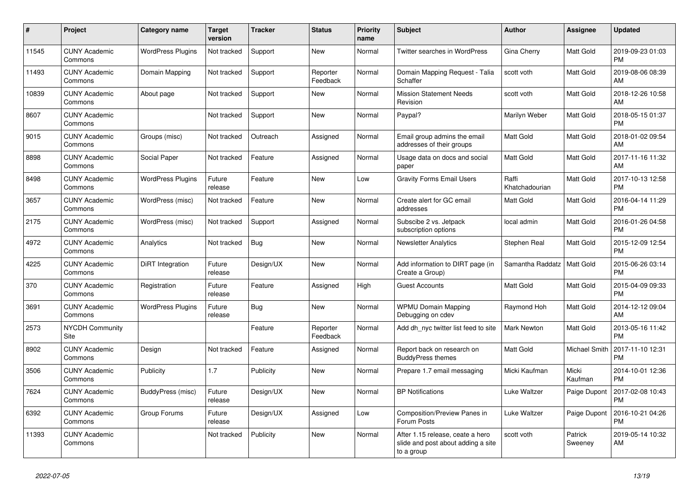| #     | <b>Project</b>                  | Category name            | <b>Target</b><br>version | <b>Tracker</b> | <b>Status</b>        | <b>Priority</b><br>name | <b>Subject</b>                                                                       | <b>Author</b>           | Assignee           | <b>Updated</b>                |
|-------|---------------------------------|--------------------------|--------------------------|----------------|----------------------|-------------------------|--------------------------------------------------------------------------------------|-------------------------|--------------------|-------------------------------|
| 11545 | <b>CUNY Academic</b><br>Commons | <b>WordPress Plugins</b> | Not tracked              | Support        | <b>New</b>           | Normal                  | <b>Twitter searches in WordPress</b>                                                 | Gina Cherry             | Matt Gold          | 2019-09-23 01:03<br><b>PM</b> |
| 11493 | <b>CUNY Academic</b><br>Commons | Domain Mapping           | Not tracked              | Support        | Reporter<br>Feedback | Normal                  | Domain Mapping Request - Talia<br>Schaffer                                           | scott voth              | Matt Gold          | 2019-08-06 08:39<br>AM        |
| 10839 | <b>CUNY Academic</b><br>Commons | About page               | Not tracked              | Support        | <b>New</b>           | Normal                  | <b>Mission Statement Needs</b><br>Revision                                           | scott voth              | Matt Gold          | 2018-12-26 10:58<br>AM        |
| 8607  | <b>CUNY Academic</b><br>Commons |                          | Not tracked              | Support        | <b>New</b>           | Normal                  | Paypal?                                                                              | Marilyn Weber           | Matt Gold          | 2018-05-15 01:37<br><b>PM</b> |
| 9015  | <b>CUNY Academic</b><br>Commons | Groups (misc)            | Not tracked              | Outreach       | Assigned             | Normal                  | Email group admins the email<br>addresses of their groups                            | Matt Gold               | Matt Gold          | 2018-01-02 09:54<br>AM        |
| 8898  | <b>CUNY Academic</b><br>Commons | Social Paper             | Not tracked              | Feature        | Assigned             | Normal                  | Usage data on docs and social<br>paper                                               | Matt Gold               | Matt Gold          | 2017-11-16 11:32<br>AM        |
| 8498  | <b>CUNY Academic</b><br>Commons | <b>WordPress Plugins</b> | Future<br>release        | Feature        | <b>New</b>           | Low                     | <b>Gravity Forms Email Users</b>                                                     | Raffi<br>Khatchadourian | Matt Gold          | 2017-10-13 12:58<br><b>PM</b> |
| 3657  | <b>CUNY Academic</b><br>Commons | WordPress (misc)         | Not tracked              | Feature        | New                  | Normal                  | Create alert for GC email<br>addresses                                               | <b>Matt Gold</b>        | Matt Gold          | 2016-04-14 11:29<br><b>PM</b> |
| 2175  | <b>CUNY Academic</b><br>Commons | WordPress (misc)         | Not tracked              | Support        | Assigned             | Normal                  | Subscibe 2 vs. Jetpack<br>subscription options                                       | local admin             | Matt Gold          | 2016-01-26 04:58<br><b>PM</b> |
| 4972  | <b>CUNY Academic</b><br>Commons | Analytics                | Not tracked              | <b>Bug</b>     | <b>New</b>           | Normal                  | <b>Newsletter Analytics</b>                                                          | Stephen Real            | Matt Gold          | 2015-12-09 12:54<br><b>PM</b> |
| 4225  | <b>CUNY Academic</b><br>Commons | <b>DiRT</b> Integration  | Future<br>release        | Design/UX      | New                  | Normal                  | Add information to DIRT page (in<br>Create a Group)                                  | Samantha Raddatz        | Matt Gold          | 2015-06-26 03:14<br><b>PM</b> |
| 370   | <b>CUNY Academic</b><br>Commons | Registration             | Future<br>release        | Feature        | Assigned             | High                    | Guest Accounts                                                                       | Matt Gold               | Matt Gold          | 2015-04-09 09:33<br><b>PM</b> |
| 3691  | <b>CUNY Academic</b><br>Commons | <b>WordPress Plugins</b> | Future<br>release        | <b>Bug</b>     | <b>New</b>           | Normal                  | <b>WPMU Domain Mapping</b><br>Debugging on cdev                                      | Raymond Hoh             | Matt Gold          | 2014-12-12 09:04<br>AM        |
| 2573  | <b>NYCDH Community</b><br>Site  |                          |                          | Feature        | Reporter<br>Feedback | Normal                  | Add dh nyc twitter list feed to site                                                 | <b>Mark Newton</b>      | Matt Gold          | 2013-05-16 11:42<br><b>PM</b> |
| 8902  | <b>CUNY Academic</b><br>Commons | Design                   | Not tracked              | Feature        | Assigned             | Normal                  | Report back on research on<br><b>BuddyPress themes</b>                               | Matt Gold               | Michael Smith      | 2017-11-10 12:31<br><b>PM</b> |
| 3506  | <b>CUNY Academic</b><br>Commons | Publicity                | 1.7                      | Publicity      | <b>New</b>           | Normal                  | Prepare 1.7 email messaging                                                          | Micki Kaufman           | Micki<br>Kaufman   | 2014-10-01 12:36<br><b>PM</b> |
| 7624  | <b>CUNY Academic</b><br>Commons | BuddyPress (misc)        | Future<br>release        | Design/UX      | <b>New</b>           | Normal                  | <b>BP</b> Notifications                                                              | Luke Waltzer            | Paige Dupont       | 2017-02-08 10:43<br><b>PM</b> |
| 6392  | <b>CUNY Academic</b><br>Commons | Group Forums             | Future<br>release        | Design/UX      | Assigned             | Low                     | <b>Composition/Preview Panes in</b><br>Forum Posts                                   | Luke Waltzer            | Paige Dupont       | 2016-10-21 04:26<br><b>PM</b> |
| 11393 | <b>CUNY Academic</b><br>Commons |                          | Not tracked              | Publicity      | <b>New</b>           | Normal                  | After 1.15 release, ceate a hero<br>slide and post about adding a site<br>to a group | scott voth              | Patrick<br>Sweenev | 2019-05-14 10:32<br>AM        |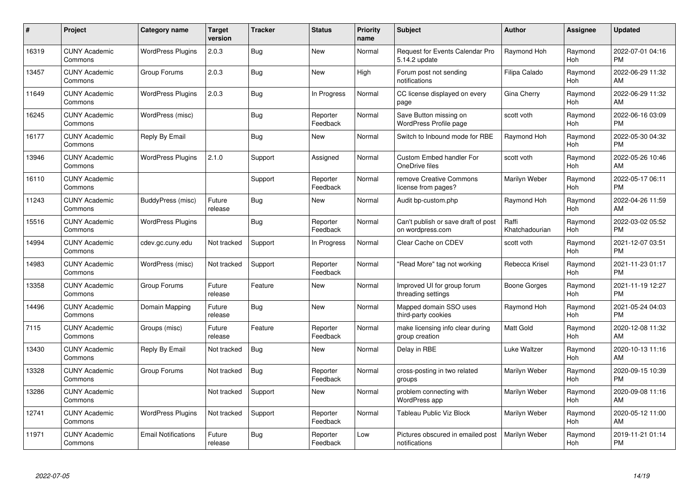| $\#$  | Project                         | <b>Category name</b>       | <b>Target</b><br>version | <b>Tracker</b> | <b>Status</b>        | <b>Priority</b><br>name | <b>Subject</b>                                          | <b>Author</b>           | <b>Assignee</b> | <b>Updated</b>                |
|-------|---------------------------------|----------------------------|--------------------------|----------------|----------------------|-------------------------|---------------------------------------------------------|-------------------------|-----------------|-------------------------------|
| 16319 | <b>CUNY Academic</b><br>Commons | <b>WordPress Plugins</b>   | 2.0.3                    | <b>Bug</b>     | <b>New</b>           | Normal                  | Request for Events Calendar Pro<br>5.14.2 update        | Raymond Hoh             | Raymond<br>Hoh  | 2022-07-01 04:16<br><b>PM</b> |
| 13457 | <b>CUNY Academic</b><br>Commons | Group Forums               | 2.0.3                    | <b>Bug</b>     | <b>New</b>           | High                    | Forum post not sending<br>notifications                 | Filipa Calado           | Raymond<br>Hoh  | 2022-06-29 11:32<br>AM        |
| 11649 | <b>CUNY Academic</b><br>Commons | <b>WordPress Plugins</b>   | 2.0.3                    | <b>Bug</b>     | In Progress          | Normal                  | CC license displayed on every<br>page                   | Gina Cherry             | Raymond<br>Hoh  | 2022-06-29 11:32<br>AM        |
| 16245 | <b>CUNY Academic</b><br>Commons | WordPress (misc)           |                          | <b>Bug</b>     | Reporter<br>Feedback | Normal                  | Save Button missing on<br>WordPress Profile page        | scott voth              | Raymond<br>Hoh  | 2022-06-16 03:09<br><b>PM</b> |
| 16177 | <b>CUNY Academic</b><br>Commons | Reply By Email             |                          | Bug            | New                  | Normal                  | Switch to Inbound mode for RBE                          | Raymond Hoh             | Raymond<br>Hoh  | 2022-05-30 04:32<br><b>PM</b> |
| 13946 | <b>CUNY Academic</b><br>Commons | <b>WordPress Plugins</b>   | 2.1.0                    | Support        | Assigned             | Normal                  | Custom Embed handler For<br>OneDrive files              | scott voth              | Raymond<br>Hoh  | 2022-05-26 10:46<br>AM        |
| 16110 | <b>CUNY Academic</b><br>Commons |                            |                          | Support        | Reporter<br>Feedback | Normal                  | remove Creative Commons<br>license from pages?          | Marilyn Weber           | Raymond<br>Hoh  | 2022-05-17 06:11<br><b>PM</b> |
| 11243 | <b>CUNY Academic</b><br>Commons | BuddyPress (misc)          | Future<br>release        | Bug            | <b>New</b>           | Normal                  | Audit bp-custom.php                                     | Raymond Hoh             | Raymond<br>Hoh  | 2022-04-26 11:59<br>AM        |
| 15516 | <b>CUNY Academic</b><br>Commons | <b>WordPress Plugins</b>   |                          | <b>Bug</b>     | Reporter<br>Feedback | Normal                  | Can't publish or save draft of post<br>on wordpress.com | Raffi<br>Khatchadourian | Raymond<br>Hoh  | 2022-03-02 05:52<br><b>PM</b> |
| 14994 | <b>CUNY Academic</b><br>Commons | cdev.gc.cuny.edu           | Not tracked              | Support        | In Progress          | Normal                  | Clear Cache on CDEV                                     | scott voth              | Raymond<br>Hoh  | 2021-12-07 03:51<br><b>PM</b> |
| 14983 | <b>CUNY Academic</b><br>Commons | WordPress (misc)           | Not tracked              | Support        | Reporter<br>Feedback | Normal                  | 'Read More" tag not working                             | Rebecca Krisel          | Raymond<br>Hoh  | 2021-11-23 01:17<br><b>PM</b> |
| 13358 | <b>CUNY Academic</b><br>Commons | Group Forums               | Future<br>release        | Feature        | <b>New</b>           | Normal                  | Improved UI for group forum<br>threading settings       | Boone Gorges            | Raymond<br>Hoh  | 2021-11-19 12:27<br><b>PM</b> |
| 14496 | <b>CUNY Academic</b><br>Commons | Domain Mapping             | Future<br>release        | <b>Bug</b>     | <b>New</b>           | Normal                  | Mapped domain SSO uses<br>third-party cookies           | Raymond Hoh             | Raymond<br>Hoh  | 2021-05-24 04:03<br><b>PM</b> |
| 7115  | <b>CUNY Academic</b><br>Commons | Groups (misc)              | Future<br>release        | Feature        | Reporter<br>Feedback | Normal                  | make licensing info clear during<br>group creation      | <b>Matt Gold</b>        | Raymond<br>Hoh  | 2020-12-08 11:32<br>AM        |
| 13430 | <b>CUNY Academic</b><br>Commons | Reply By Email             | Not tracked              | <b>Bug</b>     | <b>New</b>           | Normal                  | Delay in RBE                                            | Luke Waltzer            | Raymond<br>Hoh  | 2020-10-13 11:16<br>AM        |
| 13328 | <b>CUNY Academic</b><br>Commons | Group Forums               | Not tracked              | <b>Bug</b>     | Reporter<br>Feedback | Normal                  | cross-posting in two related<br>groups                  | Marilyn Weber           | Raymond<br>Hoh  | 2020-09-15 10:39<br><b>PM</b> |
| 13286 | <b>CUNY Academic</b><br>Commons |                            | Not tracked              | Support        | New                  | Normal                  | problem connecting with<br>WordPress app                | Marilyn Weber           | Raymond<br>Hoh  | 2020-09-08 11:16<br>AM        |
| 12741 | <b>CUNY Academic</b><br>Commons | <b>WordPress Plugins</b>   | Not tracked              | Support        | Reporter<br>Feedback | Normal                  | <b>Tableau Public Viz Block</b>                         | Marilyn Weber           | Raymond<br>Hoh  | 2020-05-12 11:00<br>AM        |
| 11971 | <b>CUNY Academic</b><br>Commons | <b>Email Notifications</b> | Future<br>release        | <b>Bug</b>     | Reporter<br>Feedback | Low                     | Pictures obscured in emailed post<br>notifications      | Marilyn Weber           | Raymond<br>Hoh  | 2019-11-21 01:14<br><b>PM</b> |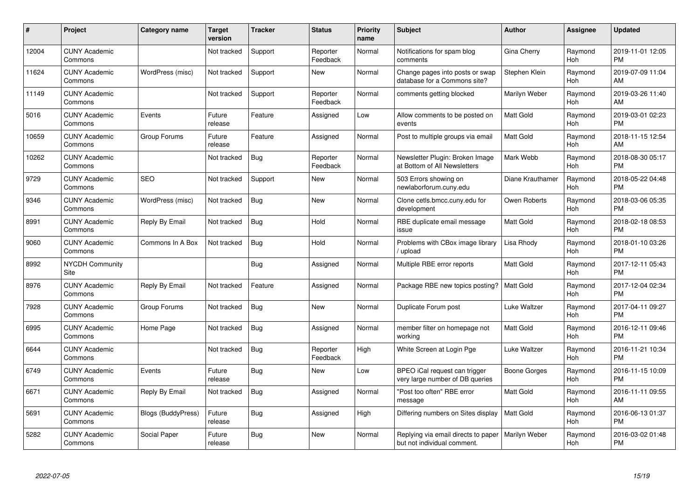| #     | Project                         | <b>Category name</b>      | <b>Target</b><br>version | <b>Tracker</b> | <b>Status</b>        | Priority<br>name | <b>Subject</b>                                                     | <b>Author</b>    | <b>Assignee</b> | <b>Updated</b>                |
|-------|---------------------------------|---------------------------|--------------------------|----------------|----------------------|------------------|--------------------------------------------------------------------|------------------|-----------------|-------------------------------|
| 12004 | <b>CUNY Academic</b><br>Commons |                           | Not tracked              | Support        | Reporter<br>Feedback | Normal           | Notifications for spam blog<br>comments                            | Gina Cherry      | Raymond<br>Hoh  | 2019-11-01 12:05<br><b>PM</b> |
| 11624 | <b>CUNY Academic</b><br>Commons | WordPress (misc)          | Not tracked              | Support        | New                  | Normal           | Change pages into posts or swap<br>database for a Commons site?    | Stephen Klein    | Raymond<br>Hoh  | 2019-07-09 11:04<br>AM        |
| 11149 | <b>CUNY Academic</b><br>Commons |                           | Not tracked              | Support        | Reporter<br>Feedback | Normal           | comments getting blocked                                           | Marilyn Weber    | Raymond<br>Hoh  | 2019-03-26 11:40<br>AM        |
| 5016  | <b>CUNY Academic</b><br>Commons | Events                    | Future<br>release        | Feature        | Assigned             | Low              | Allow comments to be posted on<br>events                           | <b>Matt Gold</b> | Raymond<br>Hoh  | 2019-03-01 02:23<br><b>PM</b> |
| 10659 | <b>CUNY Academic</b><br>Commons | Group Forums              | Future<br>release        | Feature        | Assigned             | Normal           | Post to multiple groups via email                                  | <b>Matt Gold</b> | Raymond<br>Hoh  | 2018-11-15 12:54<br>AM        |
| 10262 | <b>CUNY Academic</b><br>Commons |                           | Not tracked              | Bug            | Reporter<br>Feedback | Normal           | Newsletter Plugin: Broken Image<br>at Bottom of All Newsletters    | Mark Webb        | Raymond<br>Hoh  | 2018-08-30 05:17<br><b>PM</b> |
| 9729  | <b>CUNY Academic</b><br>Commons | <b>SEO</b>                | Not tracked              | Support        | <b>New</b>           | Normal           | 503 Errors showing on<br>newlaborforum.cuny.edu                    | Diane Krauthamer | Raymond<br>Hoh  | 2018-05-22 04:48<br><b>PM</b> |
| 9346  | <b>CUNY Academic</b><br>Commons | WordPress (misc)          | Not tracked              | Bug            | <b>New</b>           | Normal           | Clone cetls.bmcc.cuny.edu for<br>development                       | Owen Roberts     | Raymond<br>Hoh  | 2018-03-06 05:35<br><b>PM</b> |
| 8991  | <b>CUNY Academic</b><br>Commons | Reply By Email            | Not tracked              | Bug            | Hold                 | Normal           | RBE duplicate email message<br>issue                               | <b>Matt Gold</b> | Raymond<br>Hoh  | 2018-02-18 08:53<br><b>PM</b> |
| 9060  | <b>CUNY Academic</b><br>Commons | Commons In A Box          | Not tracked              | Bug            | Hold                 | Normal           | Problems with CBox image library<br>/ upload                       | Lisa Rhody       | Raymond<br>Hoh  | 2018-01-10 03:26<br><b>PM</b> |
| 8992  | <b>NYCDH Community</b><br>Site  |                           |                          | Bug            | Assigned             | Normal           | Multiple RBE error reports                                         | <b>Matt Gold</b> | Raymond<br>Hoh  | 2017-12-11 05:43<br><b>PM</b> |
| 8976  | <b>CUNY Academic</b><br>Commons | Reply By Email            | Not tracked              | Feature        | Assigned             | Normal           | Package RBE new topics posting?                                    | <b>Matt Gold</b> | Raymond<br>Hoh  | 2017-12-04 02:34<br><b>PM</b> |
| 7928  | <b>CUNY Academic</b><br>Commons | Group Forums              | Not tracked              | <b>Bug</b>     | New                  | Normal           | Duplicate Forum post                                               | Luke Waltzer     | Raymond<br>Hoh  | 2017-04-11 09:27<br><b>PM</b> |
| 6995  | <b>CUNY Academic</b><br>Commons | Home Page                 | Not tracked              | Bug            | Assigned             | Normal           | member filter on homepage not<br>working                           | <b>Matt Gold</b> | Raymond<br>Hoh  | 2016-12-11 09:46<br><b>PM</b> |
| 6644  | <b>CUNY Academic</b><br>Commons |                           | Not tracked              | <b>Bug</b>     | Reporter<br>Feedback | High             | White Screen at Login Pge                                          | Luke Waltzer     | Raymond<br>Hoh  | 2016-11-21 10:34<br><b>PM</b> |
| 6749  | <b>CUNY Academic</b><br>Commons | Events                    | Future<br>release        | <b>Bug</b>     | New                  | Low              | BPEO iCal request can trigger<br>very large number of DB queries   | Boone Gorges     | Raymond<br>Hoh  | 2016-11-15 10:09<br><b>PM</b> |
| 6671  | <b>CUNY Academic</b><br>Commons | Reply By Email            | Not tracked              | Bug            | Assigned             | Normal           | "Post too often" RBE error<br>message                              | <b>Matt Gold</b> | Raymond<br>Hoh  | 2016-11-11 09:55<br>AM        |
| 5691  | <b>CUNY Academic</b><br>Commons | <b>Blogs (BuddyPress)</b> | Future<br>release        | Bug            | Assigned             | High             | Differing numbers on Sites display                                 | <b>Matt Gold</b> | Raymond<br>Hoh  | 2016-06-13 01:37<br><b>PM</b> |
| 5282  | <b>CUNY Academic</b><br>Commons | Social Paper              | Future<br>release        | <b>Bug</b>     | <b>New</b>           | Normal           | Replying via email directs to paper<br>but not individual comment. | Marilyn Weber    | Raymond<br>Hoh  | 2016-03-02 01:48<br><b>PM</b> |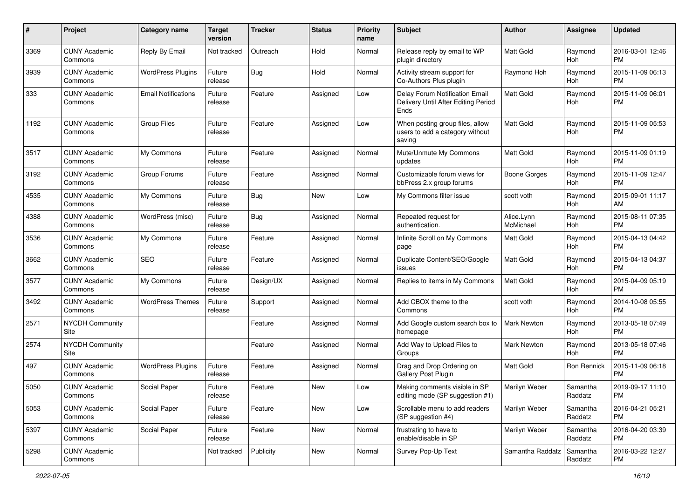| #    | Project                         | <b>Category name</b>       | <b>Target</b><br>version | <b>Tracker</b> | <b>Status</b> | <b>Priority</b><br>name | Subject                                                                       | Author                  | <b>Assignee</b>     | <b>Updated</b>                |
|------|---------------------------------|----------------------------|--------------------------|----------------|---------------|-------------------------|-------------------------------------------------------------------------------|-------------------------|---------------------|-------------------------------|
| 3369 | <b>CUNY Academic</b><br>Commons | Reply By Email             | Not tracked              | Outreach       | Hold          | Normal                  | Release reply by email to WP<br>plugin directory                              | <b>Matt Gold</b>        | Raymond<br>Hoh      | 2016-03-01 12:46<br><b>PM</b> |
| 3939 | <b>CUNY Academic</b><br>Commons | <b>WordPress Plugins</b>   | Future<br>release        | <b>Bug</b>     | Hold          | Normal                  | Activity stream support for<br>Co-Authors Plus plugin                         | Raymond Hoh             | Raymond<br>Hoh      | 2015-11-09 06:13<br><b>PM</b> |
| 333  | <b>CUNY Academic</b><br>Commons | <b>Email Notifications</b> | Future<br>release        | Feature        | Assigned      | Low                     | Delay Forum Notification Email<br>Delivery Until After Editing Period<br>Ends | <b>Matt Gold</b>        | Raymond<br>Hoh      | 2015-11-09 06:01<br><b>PM</b> |
| 1192 | <b>CUNY Academic</b><br>Commons | <b>Group Files</b>         | Future<br>release        | Feature        | Assigned      | Low                     | When posting group files, allow<br>users to add a category without<br>saving  | Matt Gold               | Raymond<br>Hoh      | 2015-11-09 05:53<br><b>PM</b> |
| 3517 | <b>CUNY Academic</b><br>Commons | My Commons                 | Future<br>release        | Feature        | Assigned      | Normal                  | Mute/Unmute My Commons<br>updates                                             | Matt Gold               | Raymond<br>Hoh      | 2015-11-09 01:19<br><b>PM</b> |
| 3192 | <b>CUNY Academic</b><br>Commons | Group Forums               | Future<br>release        | Feature        | Assigned      | Normal                  | Customizable forum views for<br>bbPress 2.x group forums                      | <b>Boone Gorges</b>     | Raymond<br>Hoh      | 2015-11-09 12:47<br><b>PM</b> |
| 4535 | <b>CUNY Academic</b><br>Commons | My Commons                 | Future<br>release        | Bug            | New           | Low                     | My Commons filter issue                                                       | scott voth              | Raymond<br>Hoh      | 2015-09-01 11:17<br>AM        |
| 4388 | <b>CUNY Academic</b><br>Commons | WordPress (misc)           | Future<br>release        | <b>Bug</b>     | Assigned      | Normal                  | Repeated request for<br>authentication.                                       | Alice.Lynn<br>McMichael | Raymond<br>Hoh      | 2015-08-11 07:35<br><b>PM</b> |
| 3536 | <b>CUNY Academic</b><br>Commons | My Commons                 | Future<br>release        | Feature        | Assigned      | Normal                  | Infinite Scroll on My Commons<br>page                                         | <b>Matt Gold</b>        | Raymond<br>Hoh      | 2015-04-13 04:42<br><b>PM</b> |
| 3662 | <b>CUNY Academic</b><br>Commons | SEO                        | Future<br>release        | Feature        | Assigned      | Normal                  | Duplicate Content/SEO/Google<br>issues                                        | <b>Matt Gold</b>        | Raymond<br>Hoh      | 2015-04-13 04:37<br><b>PM</b> |
| 3577 | <b>CUNY Academic</b><br>Commons | My Commons                 | Future<br>release        | Design/UX      | Assigned      | Normal                  | Replies to items in My Commons                                                | <b>Matt Gold</b>        | Raymond<br>Hoh      | 2015-04-09 05:19<br><b>PM</b> |
| 3492 | <b>CUNY Academic</b><br>Commons | <b>WordPress Themes</b>    | Future<br>release        | Support        | Assigned      | Normal                  | Add CBOX theme to the<br>Commons                                              | scott voth              | Raymond<br>Hoh      | 2014-10-08 05:55<br><b>PM</b> |
| 2571 | <b>NYCDH Community</b><br>Site  |                            |                          | Feature        | Assigned      | Normal                  | Add Google custom search box to<br>homepage                                   | Mark Newton             | Raymond<br>Hoh      | 2013-05-18 07:49<br><b>PM</b> |
| 2574 | <b>NYCDH Community</b><br>Site  |                            |                          | Feature        | Assigned      | Normal                  | Add Way to Upload Files to<br>Groups                                          | <b>Mark Newton</b>      | Raymond<br>Hoh      | 2013-05-18 07:46<br><b>PM</b> |
| 497  | <b>CUNY Academic</b><br>Commons | <b>WordPress Plugins</b>   | Future<br>release        | Feature        | Assigned      | Normal                  | Drag and Drop Ordering on<br>Gallery Post Plugin                              | <b>Matt Gold</b>        | Ron Rennick         | 2015-11-09 06:18<br><b>PM</b> |
| 5050 | <b>CUNY Academic</b><br>Commons | Social Paper               | Future<br>release        | Feature        | New           | Low                     | Making comments visible in SP<br>editing mode (SP suggestion #1)              | <b>Marilyn Weber</b>    | Samantha<br>Raddatz | 2019-09-17 11:10<br>PM        |
| 5053 | <b>CUNY Academic</b><br>Commons | Social Paper               | Future<br>release        | Feature        | New           | Low                     | Scrollable menu to add readers<br>(SP suggestion #4)                          | Marilyn Weber           | Samantha<br>Raddatz | 2016-04-21 05:21<br><b>PM</b> |
| 5397 | <b>CUNY Academic</b><br>Commons | Social Paper               | Future<br>release        | Feature        | New           | Normal                  | frustrating to have to<br>enable/disable in SP                                | Marilyn Weber           | Samantha<br>Raddatz | 2016-04-20 03:39<br><b>PM</b> |
| 5298 | <b>CUNY Academic</b><br>Commons |                            | Not tracked              | Publicity      | New           | Normal                  | Survey Pop-Up Text                                                            | Samantha Raddatz        | Samantha<br>Raddatz | 2016-03-22 12:27<br><b>PM</b> |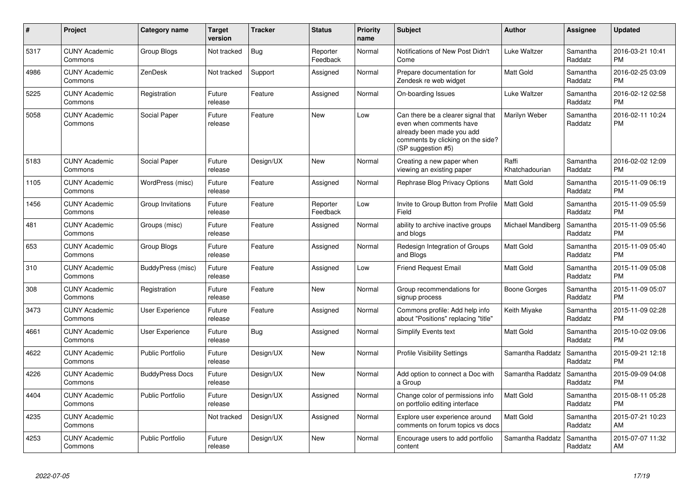| $\pmb{\#}$ | Project                         | <b>Category name</b>    | <b>Target</b><br>version | <b>Tracker</b> | <b>Status</b>        | <b>Priority</b><br>name | <b>Subject</b>                                                                                                                                        | <b>Author</b>           | Assignee            | <b>Updated</b>                |
|------------|---------------------------------|-------------------------|--------------------------|----------------|----------------------|-------------------------|-------------------------------------------------------------------------------------------------------------------------------------------------------|-------------------------|---------------------|-------------------------------|
| 5317       | <b>CUNY Academic</b><br>Commons | Group Blogs             | Not tracked              | <b>Bug</b>     | Reporter<br>Feedback | Normal                  | Notifications of New Post Didn't<br>Come                                                                                                              | Luke Waltzer            | Samantha<br>Raddatz | 2016-03-21 10:41<br><b>PM</b> |
| 4986       | <b>CUNY Academic</b><br>Commons | ZenDesk                 | Not tracked              | Support        | Assigned             | Normal                  | Prepare documentation for<br>Zendesk re web widget                                                                                                    | <b>Matt Gold</b>        | Samantha<br>Raddatz | 2016-02-25 03:09<br><b>PM</b> |
| 5225       | <b>CUNY Academic</b><br>Commons | Registration            | Future<br>release        | Feature        | Assigned             | Normal                  | On-boarding Issues                                                                                                                                    | Luke Waltzer            | Samantha<br>Raddatz | 2016-02-12 02:58<br><b>PM</b> |
| 5058       | <b>CUNY Academic</b><br>Commons | Social Paper            | Future<br>release        | Feature        | New                  | Low                     | Can there be a clearer signal that<br>even when comments have<br>already been made you add<br>comments by clicking on the side?<br>(SP suggestion #5) | Marilyn Weber           | Samantha<br>Raddatz | 2016-02-11 10:24<br><b>PM</b> |
| 5183       | <b>CUNY Academic</b><br>Commons | Social Paper            | Future<br>release        | Design/UX      | <b>New</b>           | Normal                  | Creating a new paper when<br>viewing an existing paper                                                                                                | Raffi<br>Khatchadourian | Samantha<br>Raddatz | 2016-02-02 12:09<br><b>PM</b> |
| 1105       | <b>CUNY Academic</b><br>Commons | WordPress (misc)        | Future<br>release        | Feature        | Assigned             | Normal                  | Rephrase Blog Privacy Options                                                                                                                         | <b>Matt Gold</b>        | Samantha<br>Raddatz | 2015-11-09 06:19<br><b>PM</b> |
| 1456       | <b>CUNY Academic</b><br>Commons | Group Invitations       | Future<br>release        | Feature        | Reporter<br>Feedback | Low                     | Invite to Group Button from Profile<br>Field                                                                                                          | <b>Matt Gold</b>        | Samantha<br>Raddatz | 2015-11-09 05:59<br><b>PM</b> |
| 481        | <b>CUNY Academic</b><br>Commons | Groups (misc)           | Future<br>release        | Feature        | Assigned             | Normal                  | ability to archive inactive groups<br>and blogs                                                                                                       | Michael Mandiberg       | Samantha<br>Raddatz | 2015-11-09 05:56<br><b>PM</b> |
| 653        | <b>CUNY Academic</b><br>Commons | Group Blogs             | Future<br>release        | Feature        | Assigned             | Normal                  | Redesign Integration of Groups<br>and Blogs                                                                                                           | <b>Matt Gold</b>        | Samantha<br>Raddatz | 2015-11-09 05:40<br><b>PM</b> |
| 310        | <b>CUNY Academic</b><br>Commons | BuddyPress (misc)       | Future<br>release        | Feature        | Assigned             | Low                     | <b>Friend Request Email</b>                                                                                                                           | <b>Matt Gold</b>        | Samantha<br>Raddatz | 2015-11-09 05:08<br><b>PM</b> |
| 308        | <b>CUNY Academic</b><br>Commons | Registration            | Future<br>release        | Feature        | <b>New</b>           | Normal                  | Group recommendations for<br>signup process                                                                                                           | Boone Gorges            | Samantha<br>Raddatz | 2015-11-09 05:07<br><b>PM</b> |
| 3473       | <b>CUNY Academic</b><br>Commons | User Experience         | Future<br>release        | Feature        | Assigned             | Normal                  | Commons profile: Add help info<br>about "Positions" replacing "title"                                                                                 | Keith Miyake            | Samantha<br>Raddatz | 2015-11-09 02:28<br><b>PM</b> |
| 4661       | <b>CUNY Academic</b><br>Commons | User Experience         | Future<br>release        | Bug            | Assigned             | Normal                  | Simplify Events text                                                                                                                                  | <b>Matt Gold</b>        | Samantha<br>Raddatz | 2015-10-02 09:06<br><b>PM</b> |
| 4622       | <b>CUNY Academic</b><br>Commons | <b>Public Portfolio</b> | Future<br>release        | Design/UX      | New                  | Normal                  | <b>Profile Visibility Settings</b>                                                                                                                    | Samantha Raddatz        | Samantha<br>Raddatz | 2015-09-21 12:18<br><b>PM</b> |
| 4226       | <b>CUNY Academic</b><br>Commons | <b>BuddyPress Docs</b>  | Future<br>release        | Design/UX      | <b>New</b>           | Normal                  | Add option to connect a Doc with<br>a Group                                                                                                           | Samantha Raddatz        | Samantha<br>Raddatz | 2015-09-09 04:08<br><b>PM</b> |
| 4404       | <b>CUNY Academic</b><br>Commons | <b>Public Portfolio</b> | Future<br>release        | Design/UX      | Assigned             | Normal                  | Change color of permissions info<br>on portfolio editing interface                                                                                    | <b>Matt Gold</b>        | Samantha<br>Raddatz | 2015-08-11 05:28<br><b>PM</b> |
| 4235       | <b>CUNY Academic</b><br>Commons |                         | Not tracked              | Design/UX      | Assigned             | Normal                  | Explore user experience around<br>comments on forum topics vs docs                                                                                    | <b>Matt Gold</b>        | Samantha<br>Raddatz | 2015-07-21 10:23<br>AM        |
| 4253       | <b>CUNY Academic</b><br>Commons | <b>Public Portfolio</b> | Future<br>release        | Design/UX      | <b>New</b>           | Normal                  | Encourage users to add portfolio<br>content                                                                                                           | Samantha Raddatz        | Samantha<br>Raddatz | 2015-07-07 11:32<br>AM        |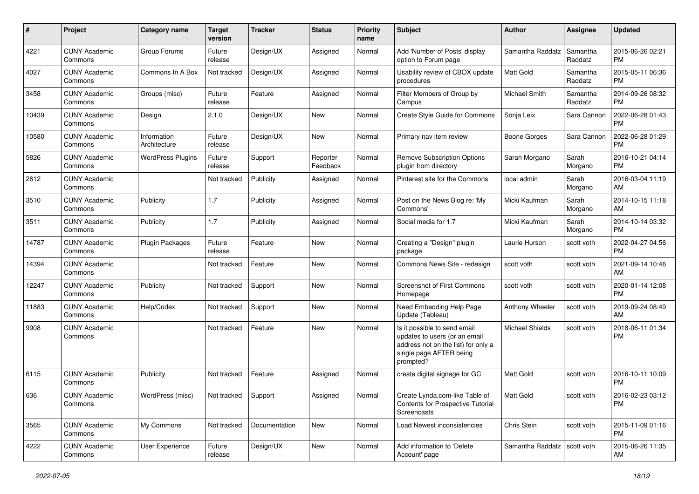| #     | Project                         | <b>Category name</b>        | <b>Target</b><br>version | <b>Tracker</b> | <b>Status</b>        | <b>Priority</b><br>name | <b>Subject</b>                                                                                                                               | Author                 | <b>Assignee</b>     | <b>Updated</b>                |
|-------|---------------------------------|-----------------------------|--------------------------|----------------|----------------------|-------------------------|----------------------------------------------------------------------------------------------------------------------------------------------|------------------------|---------------------|-------------------------------|
| 4221  | <b>CUNY Academic</b><br>Commons | Group Forums                | Future<br>release        | Design/UX      | Assigned             | Normal                  | Add 'Number of Posts' display<br>option to Forum page                                                                                        | Samantha Raddatz       | Samantha<br>Raddatz | 2015-06-26 02:21<br><b>PM</b> |
| 4027  | <b>CUNY Academic</b><br>Commons | Commons In A Box            | Not tracked              | Design/UX      | Assigned             | Normal                  | Usability review of CBOX update<br>procedures                                                                                                | <b>Matt Gold</b>       | Samantha<br>Raddatz | 2015-05-11 06:36<br><b>PM</b> |
| 3458  | <b>CUNY Academic</b><br>Commons | Groups (misc)               | Future<br>release        | Feature        | Assigned             | Normal                  | Filter Members of Group by<br>Campus                                                                                                         | Michael Smith          | Samantha<br>Raddatz | 2014-09-26 08:32<br><b>PM</b> |
| 10439 | <b>CUNY Academic</b><br>Commons | Design                      | 2.1.0                    | Design/UX      | New                  | Normal                  | Create Style Guide for Commons                                                                                                               | Sonja Leix             | Sara Cannon         | 2022-06-28 01:43<br><b>PM</b> |
| 10580 | <b>CUNY Academic</b><br>Commons | Information<br>Architecture | Future<br>release        | Design/UX      | New                  | Normal                  | Primary nav item review                                                                                                                      | Boone Gorges           | Sara Cannon         | 2022-06-28 01:29<br><b>PM</b> |
| 5826  | <b>CUNY Academic</b><br>Commons | <b>WordPress Plugins</b>    | Future<br>release        | Support        | Reporter<br>Feedback | Normal                  | <b>Remove Subscription Options</b><br>plugin from directory                                                                                  | Sarah Morgano          | Sarah<br>Morgano    | 2016-10-21 04:14<br><b>PM</b> |
| 2612  | <b>CUNY Academic</b><br>Commons |                             | Not tracked              | Publicity      | Assigned             | Normal                  | Pinterest site for the Commons                                                                                                               | local admin            | Sarah<br>Morgano    | 2016-03-04 11:19<br>AM        |
| 3510  | <b>CUNY Academic</b><br>Commons | Publicity                   | 1.7                      | Publicity      | Assigned             | Normal                  | Post on the News Blog re: 'My<br>Commons'                                                                                                    | Micki Kaufman          | Sarah<br>Morgano    | 2014-10-15 11:18<br>AM        |
| 3511  | <b>CUNY Academic</b><br>Commons | Publicity                   | 1.7                      | Publicity      | Assigned             | Normal                  | Social media for 1.7                                                                                                                         | Micki Kaufman          | Sarah<br>Morgano    | 2014-10-14 03:32<br><b>PM</b> |
| 14787 | <b>CUNY Academic</b><br>Commons | Plugin Packages             | Future<br>release        | Feature        | New                  | Normal                  | Creating a "Design" plugin<br>package                                                                                                        | Laurie Hurson          | scott voth          | 2022-04-27 04:56<br><b>PM</b> |
| 14394 | <b>CUNY Academic</b><br>Commons |                             | Not tracked              | Feature        | New                  | Normal                  | Commons News Site - redesign                                                                                                                 | scott voth             | scott voth          | 2021-09-14 10:46<br>AM        |
| 12247 | <b>CUNY Academic</b><br>Commons | Publicity                   | Not tracked              | Support        | New                  | Normal                  | <b>Screenshot of First Commons</b><br>Homepage                                                                                               | scott voth             | scott voth          | 2020-01-14 12:08<br><b>PM</b> |
| 11883 | <b>CUNY Academic</b><br>Commons | Help/Codex                  | Not tracked              | Support        | New                  | Normal                  | Need Embedding Help Page<br>Update (Tableau)                                                                                                 | Anthony Wheeler        | scott voth          | 2019-09-24 08:49<br>AM        |
| 9908  | <b>CUNY Academic</b><br>Commons |                             | Not tracked              | Feature        | New                  | Normal                  | Is it possible to send email<br>updates to users (or an email<br>address not on the list) for only a<br>single page AFTER being<br>prompted? | <b>Michael Shields</b> | scott voth          | 2018-06-11 01:34<br><b>PM</b> |
| 6115  | <b>CUNY Academic</b><br>Commons | Publicity                   | Not tracked              | Feature        | Assigned             | Normal                  | create digital signage for GC                                                                                                                | <b>Matt Gold</b>       | scott voth          | 2016-10-11 10:09<br><b>PM</b> |
| 636   | <b>CUNY Academic</b><br>Commons | WordPress (misc)            | Not tracked Support      |                | Assigned             | Normal                  | Create Lynda.com-like Table of<br>Contents for Prospective Tutorial<br>Screencasts                                                           | Matt Gold              | scott voth          | 2016-02-23 03:12<br><b>PM</b> |
| 3565  | <b>CUNY Academic</b><br>Commons | My Commons                  | Not tracked              | Documentation  | New                  | Normal                  | Load Newest inconsistencies                                                                                                                  | Chris Stein            | scott voth          | 2015-11-09 01:16<br><b>PM</b> |
| 4222  | <b>CUNY Academic</b><br>Commons | User Experience             | Future<br>release        | Design/UX      | New                  | Normal                  | Add information to 'Delete<br>Account' page                                                                                                  | Samantha Raddatz       | scott voth          | 2015-06-26 11:35<br>AM        |